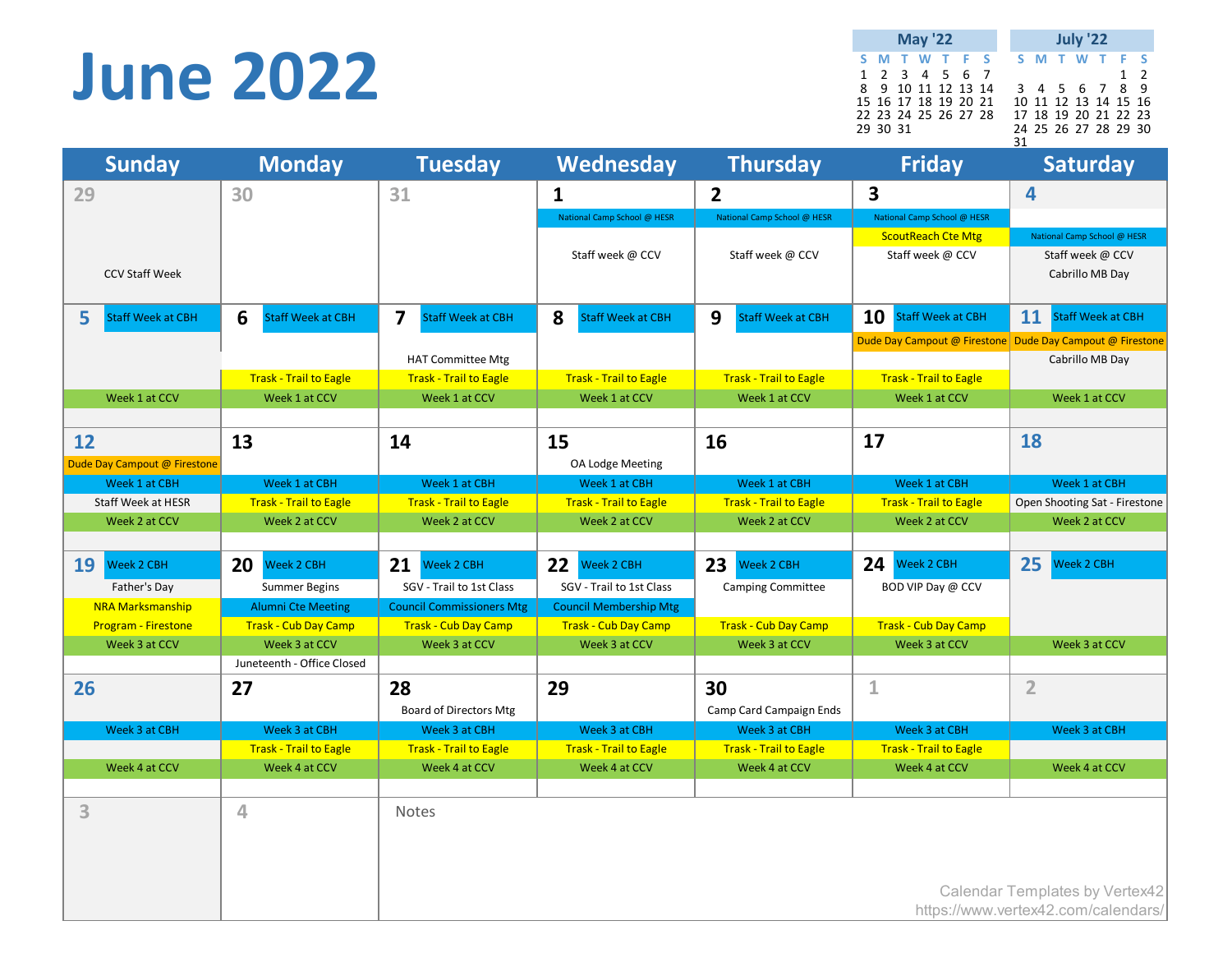### **June 2022**

**S M T W T F S S M T W T F S**  $\begin{array}{cccccccccccc} 1 & 2 & 3 & 4 & 5 & 6 & 7 & & & & 1 & 2 \\ 8 & 9 & 10 & 11 & 12 & 13 & 14 & & 3 & 4 & 5 & 6 & 7 & 8 & 9 \end{array}$ 8 9 10 11 12 13 14 3 4 5 6 7 8 9 15 16 17 18 19 20 21 10 11 12 13 14 15 16 22 23 24 25 26 27 28 17 18 19 20 21 22 23 29 30 31 24 25 26 27 28 29 30 31 **May '22 July '22**

| <b>Sunday</b>                 | <b>Monday</b>                 | <b>Tuesday</b>                               | Wednesday                     | <b>Thursday</b>               | <b>Friday</b>                  | <b>Saturday</b>                                           |
|-------------------------------|-------------------------------|----------------------------------------------|-------------------------------|-------------------------------|--------------------------------|-----------------------------------------------------------|
| 29                            | 30                            | 31                                           | $\mathbf{1}$                  | $\overline{2}$                | 3                              | 4                                                         |
|                               |                               |                                              | National Camp School @ HESR   | National Camp School @ HESR   | National Camp School @ HESR    |                                                           |
|                               |                               |                                              |                               |                               | <b>ScoutReach Cte Mtg</b>      | National Camp School @ HESR                               |
|                               |                               |                                              | Staff week @ CCV              | Staff week @ CCV              | Staff week @ CCV               | Staff week @ CCV                                          |
| <b>CCV Staff Week</b>         |                               |                                              |                               |                               |                                | Cabrillo MB Day                                           |
|                               |                               |                                              |                               |                               |                                |                                                           |
| 5<br><b>Staff Week at CBH</b> | 6<br><b>Staff Week at CBH</b> | $\overline{\mathbf{z}}$<br>Staff Week at CBH | 8<br><b>Staff Week at CBH</b> | 9<br><b>Staff Week at CBH</b> | 10<br><b>Staff Week at CBH</b> | 11<br><b>Staff Week at CBH</b>                            |
|                               |                               |                                              |                               |                               |                                | Dude Day Campout @ Firestone Dude Day Campout @ Firestone |
|                               |                               | <b>HAT Committee Mtg</b>                     |                               |                               |                                | Cabrillo MB Day                                           |
|                               | <b>Trask - Trail to Eagle</b> | <b>Trask - Trail to Eagle</b>                | <b>Trask - Trail to Eagle</b> | <b>Trask - Trail to Eagle</b> | <b>Trask - Trail to Eagle</b>  |                                                           |
| Week 1 at CCV                 | Week 1 at CCV                 | Week 1 at CCV                                | Week 1 at CCV                 | Week 1 at CCV                 | Week 1 at CCV                  | Week 1 at CCV                                             |
|                               |                               |                                              |                               |                               |                                |                                                           |
| 12                            | 13                            | 14                                           | 15                            | 16                            | 17                             | 18                                                        |
| Dude Day Campout @ Firestone  |                               |                                              | OA Lodge Meeting              |                               |                                |                                                           |
| Week 1 at CBH                 | Week 1 at CBH                 | Week 1 at CBH                                | Week 1 at CBH                 | Week 1 at CBH                 | Week 1 at CBH                  | Week 1 at CBH                                             |
| Staff Week at HESR            | <b>Trask - Trail to Eagle</b> | <b>Trask - Trail to Eagle</b>                | <b>Trask - Trail to Eagle</b> | <b>Trask - Trail to Eagle</b> | <b>Trask - Trail to Eagle</b>  | Open Shooting Sat - Firestone                             |
| Week 2 at CCV                 | Week 2 at CCV                 | Week 2 at CCV                                | Week 2 at CCV                 | Week 2 at CCV                 | Week 2 at CCV                  | Week 2 at CCV                                             |
|                               |                               |                                              |                               |                               |                                |                                                           |
| 19<br>Week 2 CBH              | 20<br>Week 2 CBH              | 21<br><b>Neek 2 CBH</b>                      | 22<br>Neek 2 CBH              | 23<br>Week 2 CBH              | 24<br>Week 2 CBH               | 25<br><b>Neek 2 CBH</b>                                   |
| Father's Day                  | <b>Summer Begins</b>          | SGV - Trail to 1st Class                     | SGV - Trail to 1st Class      | <b>Camping Committee</b>      | BOD VIP Day @ CCV              |                                                           |
| <b>NRA Marksmanship</b>       | <b>Alumni Cte Meeting</b>     | <b>Council Commissioners Mtg</b>             | <b>Council Membership Mtg</b> |                               |                                |                                                           |
| <b>Program - Firestone</b>    | <b>Trask - Cub Day Camp</b>   | <b>Trask - Cub Day Camp</b>                  | <b>Trask - Cub Day Camp</b>   | <b>Trask - Cub Day Camp</b>   | Trask - Cub Day Camp           |                                                           |
| Week 3 at CCV                 | Week 3 at CCV                 | Week 3 at CCV                                | Week 3 at CCV                 | Week 3 at CCV                 | Week 3 at CCV                  | Week 3 at CCV                                             |
|                               | Juneteenth - Office Closed    |                                              |                               |                               |                                |                                                           |
| 26                            | 27                            | 28                                           | 29                            | 30                            | $\mathbf{1}$                   | $\overline{2}$                                            |
|                               |                               | <b>Board of Directors Mtg</b>                |                               | Camp Card Campaign Ends       |                                |                                                           |
| Week 3 at CBH                 | Week 3 at CBH                 | Week 3 at CBH                                | Week 3 at CBH                 | Week 3 at CBH                 | Week 3 at CBH                  | Week 3 at CBH                                             |
|                               | <b>Trask - Trail to Eagle</b> | <b>Trask - Trail to Eagle</b>                | <b>Trask - Trail to Eagle</b> | <b>Trask - Trail to Eagle</b> | <b>Trask - Trail to Eagle</b>  |                                                           |
| Week 4 at CCV                 | Week 4 at CCV                 | Week 4 at CCV                                | Week 4 at CCV                 | Week 4 at CCV                 | Week 4 at CCV                  | Week 4 at CCV                                             |
|                               |                               |                                              |                               |                               |                                |                                                           |
| 3                             | 4                             | <b>Notes</b>                                 |                               |                               |                                |                                                           |
|                               |                               |                                              |                               |                               |                                |                                                           |
|                               |                               |                                              |                               |                               |                                |                                                           |
|                               |                               |                                              |                               |                               |                                |                                                           |
|                               |                               |                                              |                               |                               |                                | Calendar Templates by Vertex42                            |
|                               |                               |                                              |                               |                               |                                | https://www.vertex42.com/calendars/                       |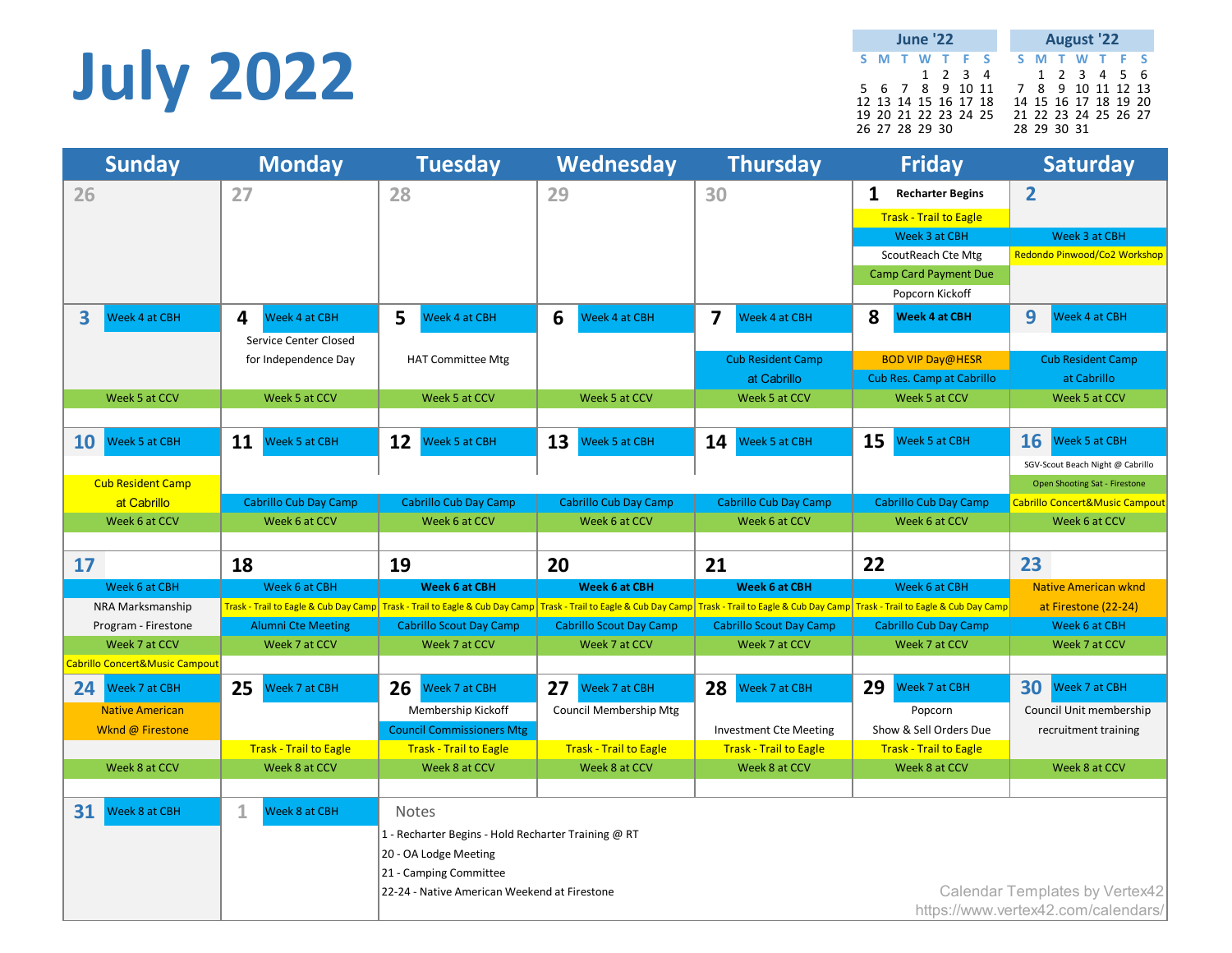# **July 2022**

|  | <b>June '22</b>      |                 |                      | <b>August '22</b> |  |             |                      |  |  |  |
|--|----------------------|-----------------|----------------------|-------------------|--|-------------|----------------------|--|--|--|
|  | S M T W T F S        |                 |                      |                   |  |             | S M T W T F S        |  |  |  |
|  |                      | $1 \t2 \t3 \t4$ |                      |                   |  |             | 1 2 3 4 5 6          |  |  |  |
|  | 5 6 7 8 9 10 11      |                 |                      | 7 8 9 10 11 12 13 |  |             |                      |  |  |  |
|  | 12 13 14 15 16 17 18 |                 |                      |                   |  |             | 14 15 16 17 18 19 20 |  |  |  |
|  | 26 27 28 29 30       |                 | 19 20 21 22 23 24 25 |                   |  | 28 29 30 31 | 21 22 23 24 25 26 27 |  |  |  |

| <b>Sunday</b>                             | <b>Monday</b>                                                                 | <b>Tuesday</b>                                      | Wednesday                             | <b>Thursday</b>                                                             | <b>Friday</b>                    | <b>Saturday</b>                           |
|-------------------------------------------|-------------------------------------------------------------------------------|-----------------------------------------------------|---------------------------------------|-----------------------------------------------------------------------------|----------------------------------|-------------------------------------------|
| 26                                        | 27                                                                            | 28                                                  | 29                                    | 30                                                                          | 1<br><b>Recharter Begins</b>     | $\overline{2}$                            |
|                                           |                                                                               |                                                     |                                       |                                                                             | <b>Trask - Trail to Eagle</b>    |                                           |
|                                           |                                                                               |                                                     |                                       |                                                                             | Week 3 at CBH                    | Week 3 at CBH                             |
|                                           |                                                                               |                                                     |                                       |                                                                             | ScoutReach Cte Mtg               | Redondo Pinwood/Co2 Workshop              |
|                                           |                                                                               |                                                     |                                       |                                                                             | <b>Camp Card Payment Due</b>     |                                           |
|                                           |                                                                               |                                                     |                                       |                                                                             | Popcorn Kickoff                  |                                           |
| 3<br><b>Neek 4 at CBH</b>                 | 4<br>Week 4 at CBH                                                            | 5<br>Week 4 at CBH                                  | 6<br><b>Neek 4 at CBH</b>             | $\overline{\mathbf{z}}$<br>Week 4 at CBH                                    | 8<br><b>Week 4 at CBH</b>        | 9<br>Week 4 at CBH                        |
|                                           | Service Center Closed                                                         |                                                     |                                       |                                                                             |                                  |                                           |
|                                           | for Independence Day                                                          | <b>HAT Committee Mtg</b>                            |                                       | <b>Cub Resident Camp</b>                                                    | <b>BOD VIP Day@HESR</b>          | <b>Cub Resident Camp</b>                  |
|                                           |                                                                               |                                                     |                                       | at Cabrillo                                                                 | <b>Cub Res. Camp at Cabrillo</b> | at Cabrillo                               |
| Week 5 at CCV                             | Week 5 at CCV                                                                 | Week 5 at CCV                                       | Week 5 at CCV                         | Week 5 at CCV                                                               | Week 5 at CCV                    | Week 5 at CCV                             |
| 10<br><b>Week 5 at CBH</b>                | 11<br>Week 5 at CBH                                                           | 12<br><b>Neek 5 at CBH</b>                          | 13<br><b>Neek 5 at CBH</b>            | 14<br>Week 5 at CBH                                                         | 15<br><b>Week 5 at CBH</b>       | 16<br>Week 5 at CBH                       |
|                                           |                                                                               |                                                     |                                       |                                                                             |                                  | SGV-Scout Beach Night @ Cabrillo          |
| <b>Cub Resident Camp</b>                  |                                                                               |                                                     |                                       |                                                                             |                                  | Open Shooting Sat - Firestone             |
| at Cabrillo                               | Cabrillo Cub Day Camp                                                         | Cabrillo Cub Day Camp                               | Cabrillo Cub Day Camp                 | Cabrillo Cub Day Camp                                                       | <b>Cabrillo Cub Day Camp</b>     | <b>Cabrillo Concert&amp;Music Campout</b> |
| Week 6 at CCV                             | Week 6 at CCV                                                                 | Week 6 at CCV                                       | Week 6 at CCV                         | Week 6 at CCV                                                               | Week 6 at CCV                    | Week 6 at CCV                             |
|                                           |                                                                               |                                                     |                                       |                                                                             |                                  |                                           |
| 17                                        | 18                                                                            | 19                                                  | 20                                    | 21                                                                          | 22                               | 23                                        |
| Week 6 at CBH                             | Week 6 at CBH                                                                 | <b>Week 6 at CBH</b>                                | <b>Week 6 at CBH</b>                  | Week 6 at CBH                                                               | Week 6 at CBH                    | <b>Native American wknd</b>               |
| NRA Marksmanship                          |                                                                               |                                                     | Trask - Trail to Eagle & Cub Day Camp | Trask - Trail to Eagle & Cub Day Camp Trask - Trail to Eagle & Cub Day Camp |                                  | at Firestone (22-24)                      |
|                                           | Trask - Trail to Eagle & Cub Day Camp   Trask - Trail to Eagle & Cub Day Camp |                                                     |                                       |                                                                             |                                  |                                           |
| Program - Firestone                       | <b>Alumni Cte Meeting</b>                                                     | <b>Cabrillo Scout Day Camp</b>                      | <b>Cabrillo Scout Day Camp</b>        | <b>Cabrillo Scout Day Camp</b>                                              | <b>Cabrillo Cub Day Camp</b>     | Week 6 at CBH                             |
| Week 7 at CCV                             | Week 7 at CCV                                                                 | Week 7 at CCV                                       | Week 7 at CCV                         | Week 7 at CCV                                                               | Week 7 at CCV                    | Week 7 at CCV                             |
| <b>Cabrillo Concert&amp;Music Campout</b> |                                                                               |                                                     |                                       |                                                                             |                                  |                                           |
| 24<br>Week 7 at CBH                       | 25<br><b>Week 7 at CBH</b>                                                    | 26<br>Week 7 at CBH                                 | 27<br>Week 7 at CBH                   | 28<br>Week 7 at CBH                                                         | 29<br><b>Week 7 at CBH</b>       | 30<br>Week 7 at CBH                       |
| <b>Native American</b>                    |                                                                               | Membership Kickoff                                  | Council Membership Mtg                |                                                                             | Popcorn                          | Council Unit membership                   |
| Wknd @ Firestone                          |                                                                               | <b>Council Commissioners Mtg</b>                    |                                       | <b>Investment Cte Meeting</b>                                               | Show & Sell Orders Due           | recruitment training                      |
|                                           | <b>Trask - Trail to Eagle</b>                                                 | <b>Trask - Trail to Eagle</b>                       | <b>Trask - Trail to Eagle</b>         | <b>Trask - Trail to Eagle</b>                                               | <b>Trask - Trail to Eagle</b>    |                                           |
| Week 8 at CCV                             | Week 8 at CCV                                                                 | Week 8 at CCV                                       | Week 8 at CCV                         | Week 8 at CCV                                                               | Week 8 at CCV                    | Week 8 at CCV                             |
| 31<br><b>Neek 8 at CBH</b>                | $\mathbf{1}$<br>Week 8 at CBH                                                 | <b>Notes</b>                                        |                                       |                                                                             |                                  |                                           |
|                                           |                                                                               | 1 - Recharter Begins - Hold Recharter Training @ RT |                                       |                                                                             |                                  |                                           |
|                                           |                                                                               | 20 - OA Lodge Meeting                               |                                       |                                                                             |                                  |                                           |
|                                           |                                                                               | 21 - Camping Committee                              |                                       |                                                                             |                                  |                                           |
|                                           |                                                                               | 22-24 - Native American Weekend at Firestone        |                                       |                                                                             |                                  | Calendar Templates by Vertex42            |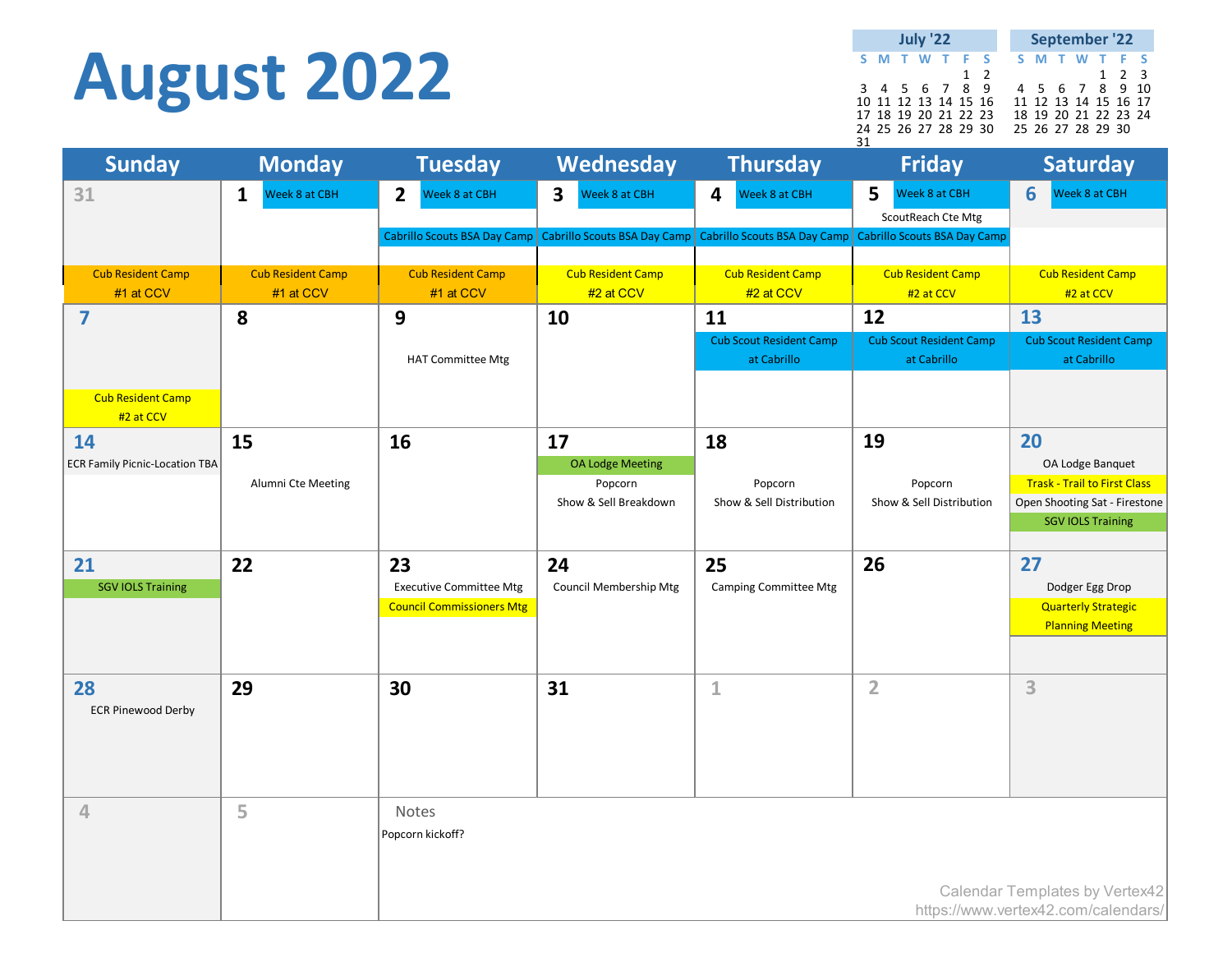### **August 2022**

|    | <b>July '22</b> |                      |  |  |  |          | September '22 |  |  |                   |  |                      |  |
|----|-----------------|----------------------|--|--|--|----------|---------------|--|--|-------------------|--|----------------------|--|
|    |                 | S M T W T F S        |  |  |  |          |               |  |  |                   |  | S M T W T F S        |  |
|    |                 |                      |  |  |  | $1\quad$ |               |  |  |                   |  | $1 \quad 2 \quad 3$  |  |
|    |                 | 3 4 5 6 7 8 9        |  |  |  |          |               |  |  |                   |  | 4 5 6 7 8 9 10       |  |
|    |                 | 10 11 12 13 14 15 16 |  |  |  |          |               |  |  |                   |  | 11 12 13 14 15 16 17 |  |
|    |                 | 17 18 19 20 21 22 23 |  |  |  |          |               |  |  |                   |  | 18 19 20 21 22 23 24 |  |
|    |                 | 24 25 26 27 28 29 30 |  |  |  |          |               |  |  | 25 26 27 28 29 30 |  |                      |  |
| 31 |                 |                      |  |  |  |          |               |  |  |                   |  |                      |  |

| <b>Sunday</b>                         | <b>Monday</b>                 | <b>Tuesday</b>                   | Wednesday                                | <b>Thursday</b>                     | <b>Friday</b>                       | <b>Saturday</b>                                           |
|---------------------------------------|-------------------------------|----------------------------------|------------------------------------------|-------------------------------------|-------------------------------------|-----------------------------------------------------------|
| 31                                    | Week 8 at CBH<br>$\mathbf{1}$ | $\overline{2}$<br>Week 8 at CBH  | $\overline{\mathbf{3}}$<br>Week 8 at CBH | Week 8 at CBH<br>4                  | 5<br>Week 8 at CBH                  | Week 8 at CBH<br>6                                        |
|                                       |                               |                                  |                                          |                                     | ScoutReach Cte Mtg                  |                                                           |
|                                       |                               | Cabrillo Scouts BSA Day Camp     | Cabrillo Scouts BSA Day Camp             | <b>Cabrillo Scouts BSA Day Camp</b> | <b>Cabrillo Scouts BSA Day Camp</b> |                                                           |
| <b>Cub Resident Camp</b>              | <b>Cub Resident Camp</b>      | <b>Cub Resident Camp</b>         | <b>Cub Resident Camp</b>                 | <b>Cub Resident Camp</b>            | <b>Cub Resident Camp</b>            | <b>Cub Resident Camp</b>                                  |
| #1 at CCV                             | #1 at CCV                     | #1 at CCV                        | #2 at CCV                                | #2 at CCV                           | #2 at CCV                           | #2 at CCV                                                 |
| $\overline{\mathbf{z}}$               | 8                             | 9                                | 10                                       | 11                                  | 12                                  | 13                                                        |
|                                       |                               |                                  |                                          | <b>Cub Scout Resident Camp</b>      | <b>Cub Scout Resident Camp</b>      | <b>Cub Scout Resident Camp</b>                            |
|                                       |                               | <b>HAT Committee Mtg</b>         |                                          | at Cabrillo                         | at Cabrillo                         | at Cabrillo                                               |
| <b>Cub Resident Camp</b>              |                               |                                  |                                          |                                     |                                     |                                                           |
| #2 at CCV                             |                               |                                  |                                          |                                     |                                     |                                                           |
| 14                                    | 15                            | 16                               | 17                                       | 18                                  | 19                                  | 20                                                        |
| <b>ECR Family Picnic-Location TBA</b> |                               |                                  | <b>OA Lodge Meeting</b>                  |                                     |                                     | OA Lodge Banquet                                          |
|                                       | Alumni Cte Meeting            |                                  | Popcorn                                  | Popcorn                             | Popcorn                             | <b>Trask - Trail to First Class</b>                       |
|                                       |                               |                                  | Show & Sell Breakdown                    | Show & Sell Distribution            | Show & Sell Distribution            | Open Shooting Sat - Firestone<br><b>SGV IOLS Training</b> |
|                                       |                               |                                  |                                          |                                     |                                     |                                                           |
| 21                                    | 22                            | 23                               | 24                                       | 25                                  | 26                                  | 27                                                        |
| <b>SGV IOLS Training</b>              |                               | <b>Executive Committee Mtg</b>   | Council Membership Mtg                   | <b>Camping Committee Mtg</b>        |                                     | Dodger Egg Drop                                           |
|                                       |                               | <b>Council Commissioners Mtg</b> |                                          |                                     |                                     | <b>Quarterly Strategic</b>                                |
|                                       |                               |                                  |                                          |                                     |                                     | <b>Planning Meeting</b>                                   |
|                                       |                               |                                  |                                          |                                     |                                     |                                                           |
| 28                                    | 29                            | 30                               | 31                                       | 1                                   | $\overline{2}$                      | 3                                                         |
| <b>ECR Pinewood Derby</b>             |                               |                                  |                                          |                                     |                                     |                                                           |
|                                       |                               |                                  |                                          |                                     |                                     |                                                           |
|                                       |                               |                                  |                                          |                                     |                                     |                                                           |
|                                       |                               |                                  |                                          |                                     |                                     |                                                           |
| 4                                     | 5                             | Notes                            |                                          |                                     |                                     |                                                           |
|                                       |                               | Popcorn kickoff?                 |                                          |                                     |                                     |                                                           |
|                                       |                               |                                  |                                          |                                     |                                     |                                                           |
|                                       |                               |                                  |                                          |                                     |                                     | Calendar Templates by Vertex42                            |
|                                       |                               |                                  |                                          |                                     |                                     | https://www.vertex42.com/calendars/                       |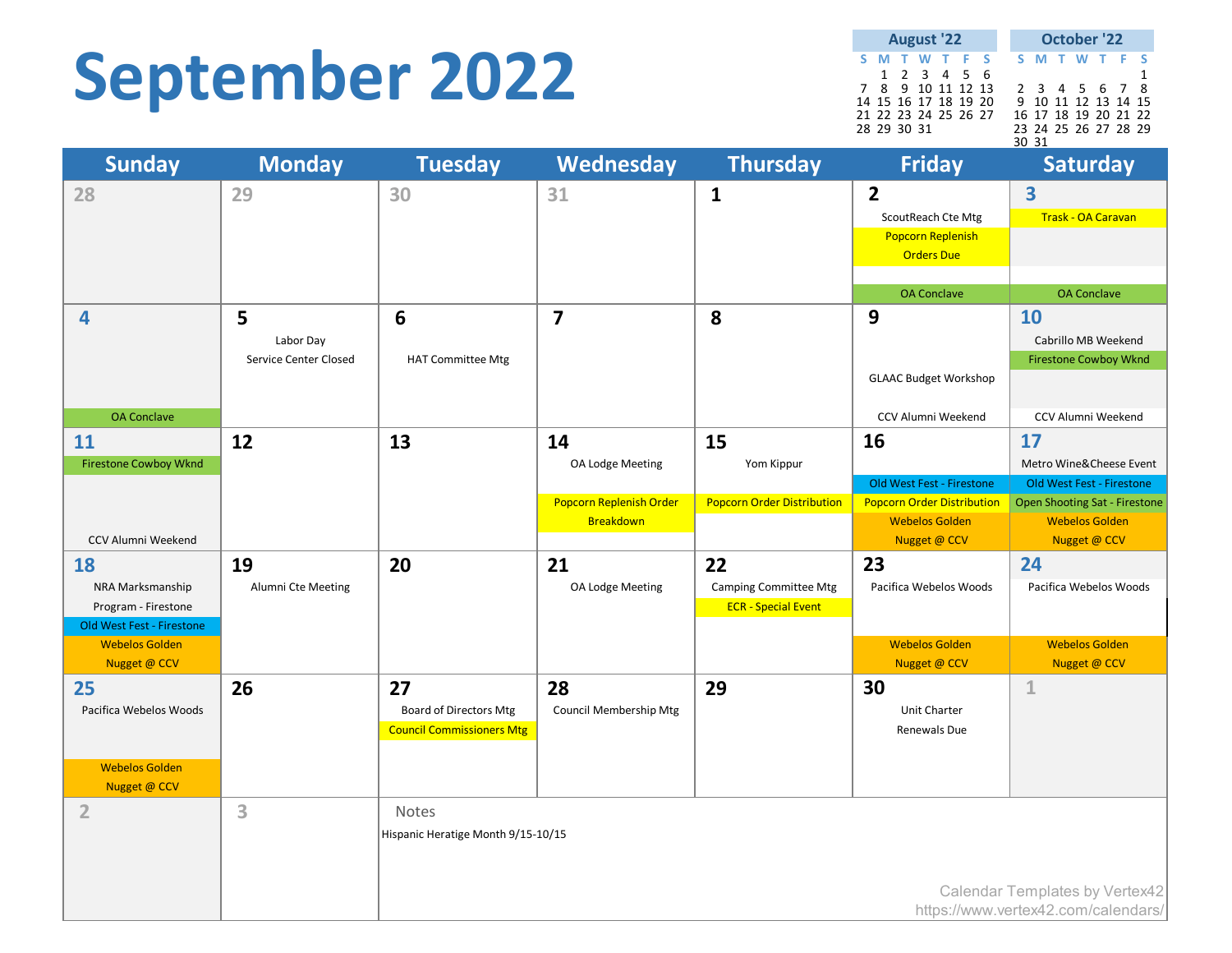### **September 2022**

**S M T W T F S S M T W T F S** 1 2 3 4 5 6<br>8 9 10 11 12 13 2 3 4 5 6 7 8 7 8 9 10 11 12 13 2 3 4 5 6 7 8 14 15 16 17 18 19 20 9 10 11 12 13 14 15 21 22 23 24 25 26 27 16 17 18 19 20 21 22 28 29 30 31 23 24 25 26 27 28 29 30 31 **August '22 October '22**

| <b>Sunday</b>                           | <b>Monday</b>                | <b>Tuesday</b>                     | Wednesday                     | <b>Thursday</b>                                            | <b>Friday</b>                         | <b>Saturday</b>                       |
|-----------------------------------------|------------------------------|------------------------------------|-------------------------------|------------------------------------------------------------|---------------------------------------|---------------------------------------|
| 28                                      | 29                           | 30                                 | 31                            | $\mathbf{1}$                                               | $\overline{2}$                        | $\overline{\mathbf{3}}$               |
|                                         |                              |                                    |                               |                                                            | ScoutReach Cte Mtg                    | <b>Trask - OA Caravan</b>             |
|                                         |                              |                                    |                               |                                                            | <b>Popcorn Replenish</b>              |                                       |
|                                         |                              |                                    |                               |                                                            | <b>Orders Due</b>                     |                                       |
|                                         |                              |                                    |                               |                                                            |                                       |                                       |
|                                         |                              |                                    |                               |                                                            | <b>OA</b> Conclave                    | <b>OA Conclave</b>                    |
| 4                                       | 5                            | 6                                  | $\overline{7}$                | 8                                                          | 9                                     | <b>10</b>                             |
|                                         | Labor Day                    |                                    |                               |                                                            |                                       | Cabrillo MB Weekend                   |
|                                         | <b>Service Center Closed</b> | <b>HAT Committee Mtg</b>           |                               |                                                            | <b>GLAAC Budget Workshop</b>          | <b>Firestone Cowboy Wknd</b>          |
|                                         |                              |                                    |                               |                                                            |                                       |                                       |
| <b>OA Conclave</b>                      |                              |                                    |                               |                                                            | CCV Alumni Weekend                    | CCV Alumni Weekend                    |
| 11                                      | 12                           | 13                                 | 14                            | 15                                                         | 16                                    | 17                                    |
| <b>Firestone Cowboy Wknd</b>            |                              |                                    | OA Lodge Meeting              | Yom Kippur                                                 |                                       | Metro Wine&Cheese Event               |
|                                         |                              |                                    |                               |                                                            | Old West Fest - Firestone             | Old West Fest - Firestone             |
|                                         |                              |                                    | Popcorn Replenish Order       | <b>Popcorn Order Distribution</b>                          | <b>Popcorn Order Distribution</b>     | <b>Open Shooting Sat - Firestone</b>  |
| CCV Alumni Weekend                      |                              |                                    | Breakdown                     |                                                            | <b>Webelos Golden</b><br>Nugget @ CCV | <b>Webelos Golden</b><br>Nugget @ CCV |
|                                         |                              | 20                                 |                               |                                                            | 23                                    | 24                                    |
| <b>18</b>                               | 19                           |                                    | 21                            | 22                                                         |                                       |                                       |
| NRA Marksmanship<br>Program - Firestone | Alumni Cte Meeting           |                                    | OA Lodge Meeting              | <b>Camping Committee Mtg</b><br><b>ECR</b> - Special Event | Pacifica Webelos Woods                | Pacifica Webelos Woods                |
| Old West Fest - Firestone               |                              |                                    |                               |                                                            |                                       |                                       |
| <b>Webelos Golden</b>                   |                              |                                    |                               |                                                            | <b>Webelos Golden</b>                 | <b>Webelos Golden</b>                 |
| Nugget @ CCV                            |                              |                                    |                               |                                                            | Nugget @ CCV                          | Nugget @ CCV                          |
| 25                                      | 26                           | 27                                 | 28                            | 29                                                         | 30                                    | $\mathbf 1$                           |
| Pacifica Webelos Woods                  |                              | <b>Board of Directors Mtg</b>      | <b>Council Membership Mtg</b> |                                                            | Unit Charter                          |                                       |
|                                         |                              | <b>Council Commissioners Mtg</b>   |                               |                                                            | Renewals Due                          |                                       |
|                                         |                              |                                    |                               |                                                            |                                       |                                       |
| <b>Webelos Golden</b><br>Nugget @ CCV   |                              |                                    |                               |                                                            |                                       |                                       |
| $\overline{2}$                          | 3                            | Notes                              |                               |                                                            |                                       |                                       |
|                                         |                              | Hispanic Heratige Month 9/15-10/15 |                               |                                                            |                                       |                                       |
|                                         |                              |                                    |                               |                                                            |                                       |                                       |
|                                         |                              |                                    |                               |                                                            |                                       |                                       |
|                                         |                              |                                    |                               |                                                            |                                       | Calendar Templates by Vertex42        |
|                                         |                              |                                    |                               |                                                            |                                       | https://www.vertex42.com/calendars/   |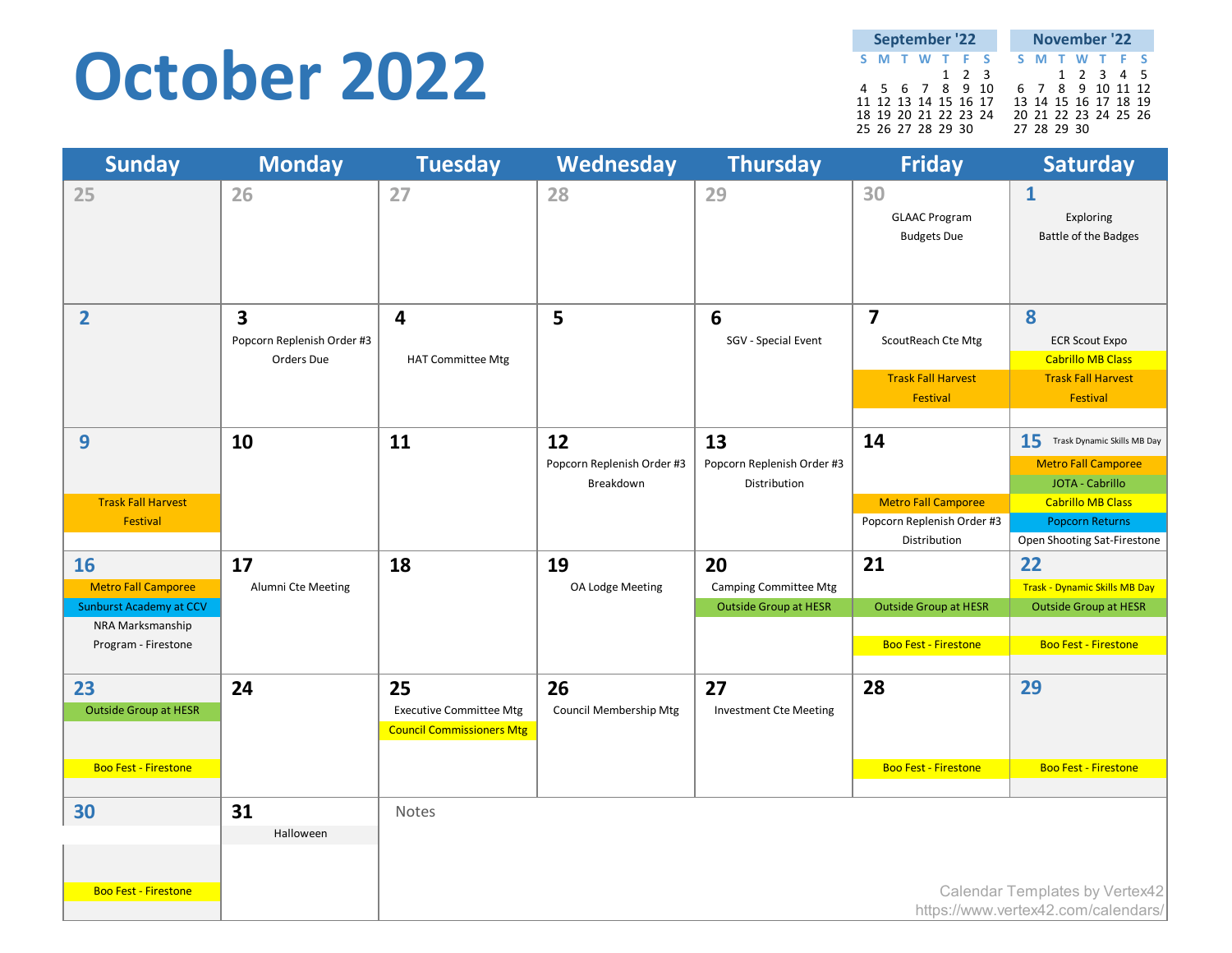#### **October 2022**

| <b>September '22</b> |  |  |  |             |  |                  |             | November '22         |  |  |
|----------------------|--|--|--|-------------|--|------------------|-------------|----------------------|--|--|
| S M T W T F S        |  |  |  |             |  |                  |             | S M T W T F S        |  |  |
|                      |  |  |  | $1 \t2 \t3$ |  |                  |             | 1 2 3 4 5            |  |  |
| 4 5 6 7 8 9 10       |  |  |  |             |  | 6 7 8 9 10 11 12 |             |                      |  |  |
| 11 12 13 14 15 16 17 |  |  |  |             |  |                  |             | 13 14 15 16 17 18 19 |  |  |
| 18 19 20 21 22 23 24 |  |  |  |             |  |                  |             | 20 21 22 23 24 25 26 |  |  |
| 25 26 27 28 29 30    |  |  |  |             |  |                  | 27 28 29 30 |                      |  |  |

| <b>Sunday</b>                                                                                                        | <b>Monday</b>                                                       | <b>Tuesday</b>                                                           | Wednesday                                     | <b>Thursday</b>                                                    | <b>Friday</b>                                                                          | <b>Saturday</b>                                                                                                                          |
|----------------------------------------------------------------------------------------------------------------------|---------------------------------------------------------------------|--------------------------------------------------------------------------|-----------------------------------------------|--------------------------------------------------------------------|----------------------------------------------------------------------------------------|------------------------------------------------------------------------------------------------------------------------------------------|
| 25                                                                                                                   | 26                                                                  | 27                                                                       | 28                                            | 29                                                                 | 30<br><b>GLAAC Program</b><br><b>Budgets Due</b>                                       | $\mathbf{1}$<br>Exploring<br><b>Battle of the Badges</b>                                                                                 |
| $\overline{2}$                                                                                                       | $\overline{\mathbf{3}}$<br>Popcorn Replenish Order #3<br>Orders Due | $\overline{\mathbf{4}}$<br><b>HAT Committee Mtg</b>                      | 5                                             | 6<br>SGV - Special Event                                           | $\overline{\mathbf{z}}$<br>ScoutReach Cte Mtg<br><b>Trask Fall Harvest</b><br>Festival | 8<br><b>ECR Scout Expo</b><br><b>Cabrillo MB Class</b><br><b>Trask Fall Harvest</b><br>Festival                                          |
| $\boldsymbol{9}$<br><b>Trask Fall Harvest</b><br><b>Festival</b>                                                     | 10                                                                  | 11                                                                       | 12<br>Popcorn Replenish Order #3<br>Breakdown | 13<br>Popcorn Replenish Order #3<br>Distribution                   | 14<br><b>Metro Fall Camporee</b><br>Popcorn Replenish Order #3                         | 15<br>Trask Dynamic Skills MB Day<br>Metro Fall Camporee<br>JOTA - Cabrillo<br><b>Cabrillo MB Class</b><br><b>Popcorn Returns</b>        |
| <b>16</b><br><b>Metro Fall Camporee</b><br><b>Sunburst Academy at CCV</b><br>NRA Marksmanship<br>Program - Firestone | 17<br>Alumni Cte Meeting                                            | 18                                                                       | 19<br>OA Lodge Meeting                        | 20<br><b>Camping Committee Mtg</b><br><b>Outside Group at HESR</b> | Distribution<br>21<br><b>Outside Group at HESR</b><br><b>Boo Fest - Firestone</b>      | Open Shooting Sat-Firestone<br>22<br><b>Trask - Dynamic Skills MB Day</b><br><b>Outside Group at HESR</b><br><b>Boo Fest - Firestone</b> |
| 23<br><b>Outside Group at HESR</b>                                                                                   | 24                                                                  | 25<br><b>Executive Committee Mtg</b><br><b>Council Commissioners Mtg</b> | 26<br>Council Membership Mtg                  | 27<br><b>Investment Cte Meeting</b>                                | 28                                                                                     | 29                                                                                                                                       |
| <b>Boo Fest - Firestone</b><br>30<br><b>Boo Fest - Firestone</b>                                                     | 31<br>Halloween                                                     | Notes                                                                    |                                               |                                                                    | <b>Boo Fest - Firestone</b>                                                            | <b>Boo Fest - Firestone</b><br>Calendar Templates by Vertex42                                                                            |
|                                                                                                                      |                                                                     |                                                                          |                                               |                                                                    |                                                                                        | https://www.vertex42.com/calendars/                                                                                                      |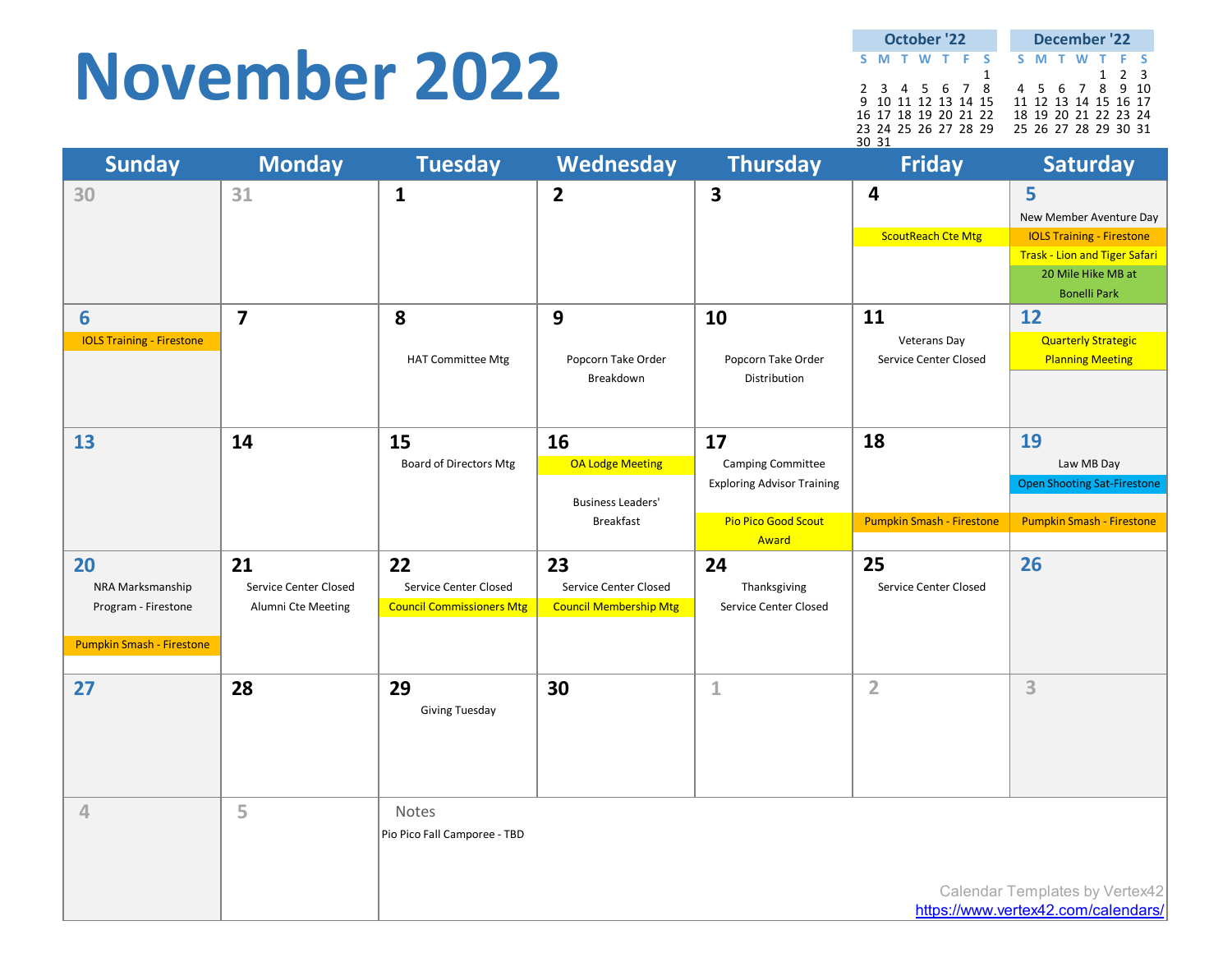#### **November 2022**

| <b>October '22</b><br>S M T W T F S |                      |  |  |  |  |  | December '22         |       |  |
|-------------------------------------|----------------------|--|--|--|--|--|----------------------|-------|--|
|                                     |                      |  |  |  |  |  | S M T W T F S        |       |  |
|                                     |                      |  |  |  |  |  |                      | 1 2 3 |  |
|                                     | 2 3 4 5 6 7 8        |  |  |  |  |  | 4 5 6 7 8 9 10       |       |  |
|                                     | 9 10 11 12 13 14 15  |  |  |  |  |  | 11 12 13 14 15 16 17 |       |  |
|                                     | 16 17 18 19 20 21 22 |  |  |  |  |  | 18 19 20 21 22 23 24 |       |  |
|                                     | 23 24 25 26 27 28 29 |  |  |  |  |  | 25 26 27 28 29 30 31 |       |  |
| 30 31                               |                      |  |  |  |  |  |                      |       |  |

| <b>Sunday</b>                                                              | <b>Monday</b>                                     | <b>Tuesday</b>                                                  | Wednesday                                                              | <b>Thursday</b>                                                                                   | <b>Friday</b>                                        | <b>Saturday</b>                                                                                                                                       |
|----------------------------------------------------------------------------|---------------------------------------------------|-----------------------------------------------------------------|------------------------------------------------------------------------|---------------------------------------------------------------------------------------------------|------------------------------------------------------|-------------------------------------------------------------------------------------------------------------------------------------------------------|
| 30                                                                         | 31                                                | $\mathbf{1}$                                                    | $\overline{2}$                                                         | $\overline{\mathbf{3}}$                                                                           | $\overline{\mathbf{4}}$<br><b>ScoutReach Cte Mtg</b> | 5<br>New Member Aventure Day<br><b>IOLS Training - Firestone</b><br><b>Trask - Lion and Tiger Safari</b><br>20 Mile Hike MB at<br><b>Bonelli Park</b> |
| 6<br><b>IOLS Training - Firestone</b>                                      | $\overline{\mathbf{z}}$                           | 8<br><b>HAT Committee Mtg</b>                                   | 9<br>Popcorn Take Order<br>Breakdown                                   | 10<br>Popcorn Take Order<br>Distribution                                                          | 11<br><b>Veterans Day</b><br>Service Center Closed   | 12<br><b>Quarterly Strategic</b><br><b>Planning Meeting</b>                                                                                           |
| 13                                                                         | 14                                                | 15<br><b>Board of Directors Mtg</b>                             | 16<br>OA Lodge Meeting<br><b>Business Leaders'</b><br><b>Breakfast</b> | 17<br><b>Camping Committee</b><br><b>Exploring Advisor Training</b><br><b>Pio Pico Good Scout</b> | 18<br><b>Pumpkin Smash - Firestone</b>               | 19<br>Law MB Day<br><b>Open Shooting Sat-Firestone</b><br>Pumpkin Smash - Firestone                                                                   |
|                                                                            |                                                   |                                                                 |                                                                        | Award                                                                                             |                                                      |                                                                                                                                                       |
| 20<br>NRA Marksmanship<br>Program - Firestone<br>Pumpkin Smash - Firestone | 21<br>Service Center Closed<br>Alumni Cte Meeting | 22<br>Service Center Closed<br><b>Council Commissioners Mtg</b> | 23<br>Service Center Closed<br><b>Council Membership Mtg</b>           | 24<br>Thanksgiving<br>Service Center Closed                                                       | 25<br>Service Center Closed                          | 26                                                                                                                                                    |
| 27                                                                         | 28                                                | 29<br><b>Giving Tuesday</b>                                     | 30                                                                     | $\mathbf{1}$                                                                                      | $\overline{2}$                                       | 3                                                                                                                                                     |
| $\overline{4}$                                                             | 5                                                 | Notes<br>Pio Pico Fall Camporee - TBD                           |                                                                        |                                                                                                   |                                                      |                                                                                                                                                       |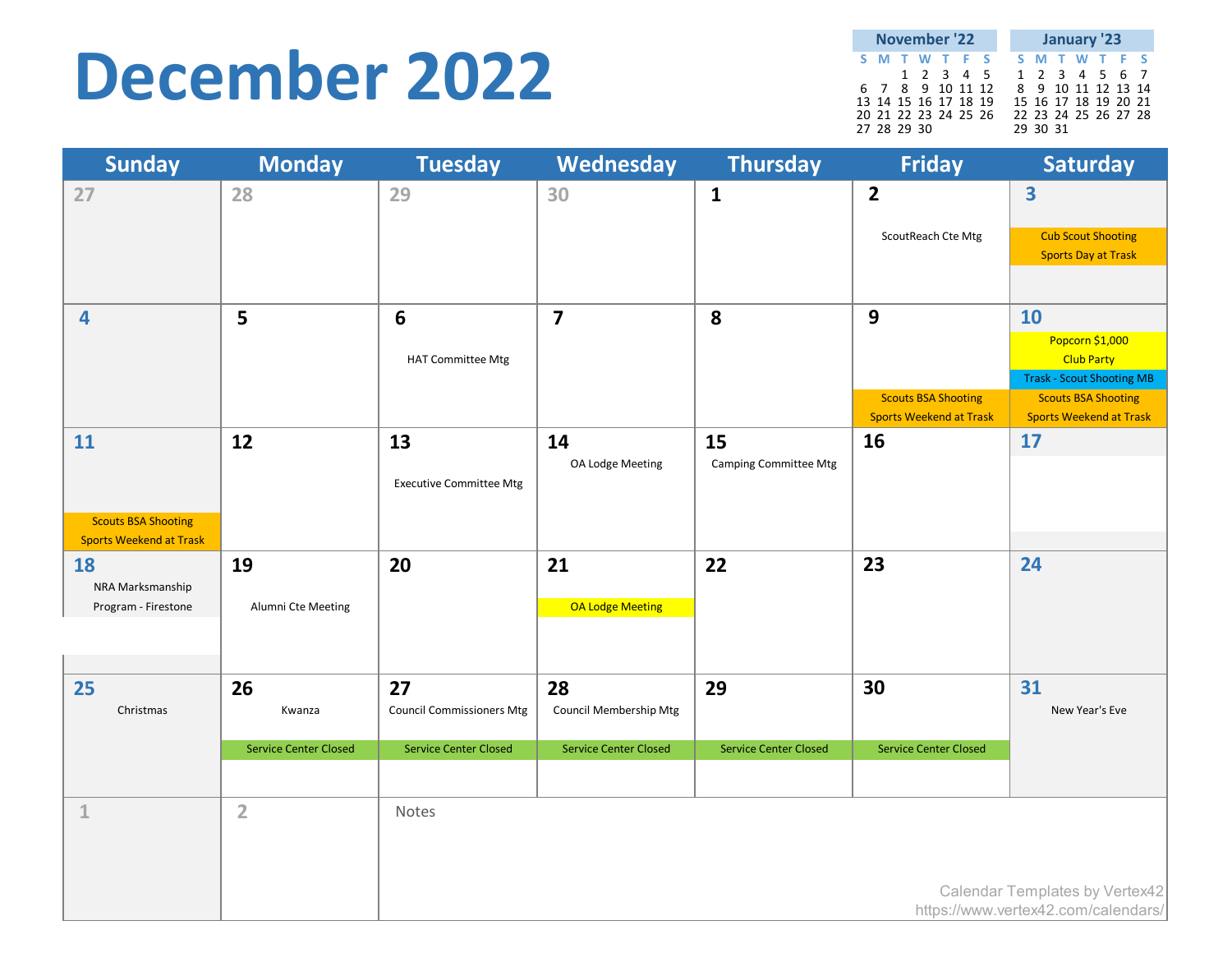#### **December 2022**

|             |  | November '22         |  |  |          | January '23          |  |  |
|-------------|--|----------------------|--|--|----------|----------------------|--|--|
|             |  | S M T W T F S        |  |  |          | S M T W T F S        |  |  |
|             |  | 1 2 3 4 5            |  |  |          | 1 2 3 4 5 6 7        |  |  |
|             |  | 6 7 8 9 10 11 12     |  |  |          | 8 9 10 11 12 13 14   |  |  |
|             |  | 13 14 15 16 17 18 19 |  |  |          | 15 16 17 18 19 20 21 |  |  |
|             |  | 20 21 22 23 24 25 26 |  |  |          | 22 23 24 25 26 27 28 |  |  |
| 27 28 29 30 |  |                      |  |  | 29 30 31 |                      |  |  |

| <b>Sunday</b>                               | <b>Monday</b>                | <b>Tuesday</b>                         | Wednesday                    | <b>Thursday</b>              | <b>Friday</b>                                                | <b>Saturday</b>                                                       |
|---------------------------------------------|------------------------------|----------------------------------------|------------------------------|------------------------------|--------------------------------------------------------------|-----------------------------------------------------------------------|
| 27                                          | 28                           | 29                                     | 30                           | $\mathbf{1}$                 | $\overline{2}$                                               | $\overline{\mathbf{3}}$                                               |
|                                             |                              |                                        |                              |                              | ScoutReach Cte Mtg                                           | <b>Cub Scout Shooting</b>                                             |
|                                             |                              |                                        |                              |                              |                                                              | <b>Sports Day at Trask</b>                                            |
|                                             |                              |                                        |                              |                              |                                                              |                                                                       |
| 4                                           | 5                            | $6\phantom{1}6$                        | $\overline{\mathbf{z}}$      | 8                            | 9                                                            | 10                                                                    |
|                                             |                              | <b>HAT Committee Mtg</b>               |                              |                              |                                                              | Popcorn \$1,000<br><b>Club Party</b>                                  |
|                                             |                              |                                        |                              |                              |                                                              | <b>Trask - Scout Shooting MB</b>                                      |
|                                             |                              |                                        |                              |                              | <b>Scouts BSA Shooting</b><br><b>Sports Weekend at Trask</b> | <b>Scouts BSA Shooting</b><br><b>Sports Weekend at Trask</b>          |
| 11                                          | 12                           | 13                                     | 14                           | 15                           | 16                                                           | 17                                                                    |
|                                             |                              |                                        | OA Lodge Meeting             | <b>Camping Committee Mtg</b> |                                                              |                                                                       |
|                                             |                              | <b>Executive Committee Mtg</b>         |                              |                              |                                                              |                                                                       |
| <b>Scouts BSA Shooting</b>                  |                              |                                        |                              |                              |                                                              |                                                                       |
| <b>Sports Weekend at Trask</b><br><b>18</b> | 19                           | 20                                     | 21                           | 22                           | 23                                                           | 24                                                                    |
| NRA Marksmanship                            |                              |                                        |                              |                              |                                                              |                                                                       |
| Program - Firestone                         | Alumni Cte Meeting           |                                        | OA Lodge Meeting             |                              |                                                              |                                                                       |
|                                             |                              |                                        |                              |                              |                                                              |                                                                       |
|                                             |                              |                                        |                              |                              |                                                              |                                                                       |
| 25<br>Christmas                             | 26<br>Kwanza                 | 27<br><b>Council Commissioners Mtg</b> | 28<br>Council Membership Mtg | 29                           | 30                                                           | 31<br>New Year's Eve                                                  |
|                                             |                              |                                        |                              |                              |                                                              |                                                                       |
|                                             | <b>Service Center Closed</b> | <b>Service Center Closed</b>           | <b>Service Center Closed</b> | <b>Service Center Closed</b> | <b>Service Center Closed</b>                                 |                                                                       |
|                                             |                              |                                        |                              |                              |                                                              |                                                                       |
| $1\,$                                       | $\overline{2}$               | Notes                                  |                              |                              |                                                              |                                                                       |
|                                             |                              |                                        |                              |                              |                                                              |                                                                       |
|                                             |                              |                                        |                              |                              |                                                              |                                                                       |
|                                             |                              |                                        |                              |                              |                                                              | Calendar Templates by Vertex42<br>https://www.vertex42.com/calendars/ |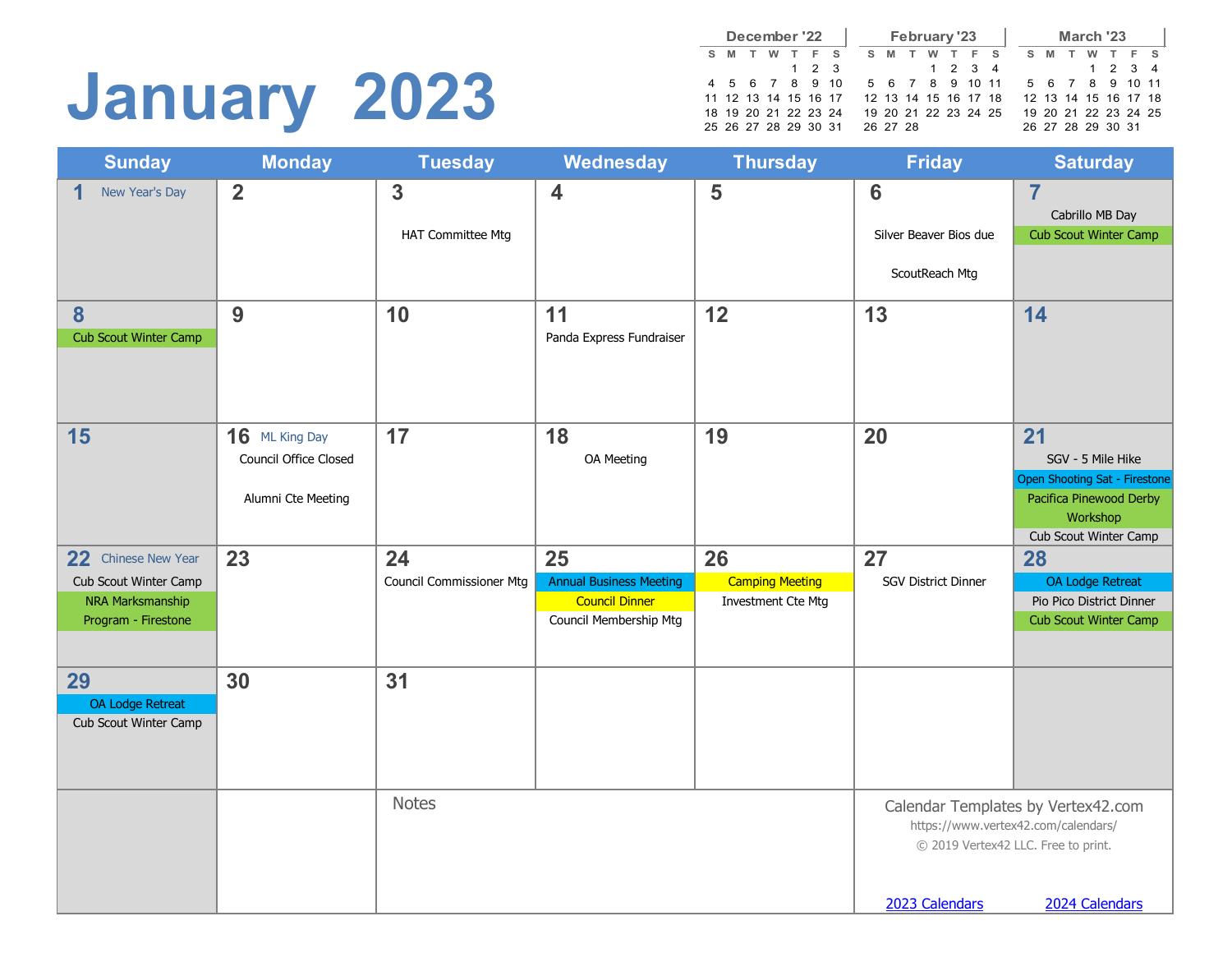# **January 2023**

|    |                      |   | December '22 |             |  |          | February '23 |   |                      |                      |    |          | March '23            |         |  |
|----|----------------------|---|--------------|-------------|--|----------|--------------|---|----------------------|----------------------|----|----------|----------------------|---------|--|
| S. | M                    | w | T F S        |             |  | S M      | w            | T | F S                  |                      | S. | <b>M</b> | w                    | T F S   |  |
|    |                      |   |              | $1 \t2 \t3$ |  |          |              |   | 1 2 3 4              |                      |    |          |                      | 1 2 3 4 |  |
|    | 4 5 6 7 8 9 10       |   |              |             |  |          |              |   |                      | 5 6 7 8 9 10 11      |    |          | 5 6 7 8 9 10 11      |         |  |
|    | 11 12 13 14 15 16 17 |   |              |             |  |          |              |   | 12 13 14 15 16 17 18 |                      |    |          | 12 13 14 15 16 17 18 |         |  |
|    | 18 19 20 21 22 23 24 |   |              |             |  |          |              |   |                      | 19 20 21 22 23 24 25 |    |          | 19 20 21 22 23 24 25 |         |  |
|    | 25 26 27 28 29 30 31 |   |              |             |  | 26 27 28 |              |   |                      |                      |    |          | 26 27 28 29 30 31    |         |  |

| <b>Sunday</b>                                    | <b>Monday</b>         | <b>Tuesday</b>                  | <b>Wednesday</b>               | <b>Thursday</b>        | <b>Friday</b>              | <b>Saturday</b>                                                           |
|--------------------------------------------------|-----------------------|---------------------------------|--------------------------------|------------------------|----------------------------|---------------------------------------------------------------------------|
| New Year's Day<br>1                              | $\overline{2}$        | $\mathbf{3}$                    | $\overline{\mathbf{4}}$        | 5                      | 6                          | $\overline{7}$                                                            |
|                                                  |                       | HAT Committee Mtg               |                                |                        | Silver Beaver Bios due     | Cabrillo MB Day<br>Cub Scout Winter Camp                                  |
|                                                  |                       |                                 |                                |                        |                            |                                                                           |
|                                                  |                       |                                 |                                |                        | ScoutReach Mtg             |                                                                           |
| 8                                                | 9                     | 10                              | 11                             | 12                     | 13                         | 14                                                                        |
| <b>Cub Scout Winter Camp</b>                     |                       |                                 | Panda Express Fundraiser       |                        |                            |                                                                           |
|                                                  |                       |                                 |                                |                        |                            |                                                                           |
|                                                  |                       |                                 |                                |                        |                            |                                                                           |
| 15                                               | 16 ML King Day        | 17                              | 18                             | 19                     | 20                         | 21                                                                        |
|                                                  | Council Office Closed |                                 | OA Meeting                     |                        |                            | SGV - 5 Mile Hike                                                         |
|                                                  | Alumni Cte Meeting    |                                 |                                |                        |                            | Open Shooting Sat - Firestone<br>Pacifica Pinewood Derby                  |
|                                                  |                       |                                 |                                |                        |                            | Workshop                                                                  |
|                                                  |                       |                                 |                                |                        |                            | Cub Scout Winter Camp                                                     |
| 22 <sub>2</sub><br>Chinese New Year              | 23                    | 24                              | 25                             | 26                     | 27                         | 28                                                                        |
| Cub Scout Winter Camp                            |                       | <b>Council Commissioner Mtg</b> | <b>Annual Business Meeting</b> | <b>Camping Meeting</b> | <b>SGV District Dinner</b> | <b>OA Lodge Retreat</b>                                                   |
| NRA Marksmanship                                 |                       |                                 | <b>Council Dinner</b>          | Investment Cte Mtg     |                            | Pio Pico District Dinner                                                  |
| Program - Firestone                              |                       |                                 | Council Membership Mtg         |                        |                            | <b>Cub Scout Winter Camp</b>                                              |
|                                                  |                       |                                 |                                |                        |                            |                                                                           |
| 29                                               | 30                    | 31                              |                                |                        |                            |                                                                           |
| <b>OA Lodge Retreat</b><br>Cub Scout Winter Camp |                       |                                 |                                |                        |                            |                                                                           |
|                                                  |                       |                                 |                                |                        |                            |                                                                           |
|                                                  |                       |                                 |                                |                        |                            |                                                                           |
|                                                  |                       | <b>Notes</b>                    |                                |                        |                            |                                                                           |
|                                                  |                       |                                 |                                |                        |                            | Calendar Templates by Vertex42.com<br>https://www.vertex42.com/calendars/ |
|                                                  |                       |                                 |                                |                        |                            | © 2019 Vertex42 LLC. Free to print.                                       |
|                                                  |                       |                                 |                                |                        |                            |                                                                           |
|                                                  |                       |                                 |                                |                        | 2023 Calendars             | 2024 Calendars                                                            |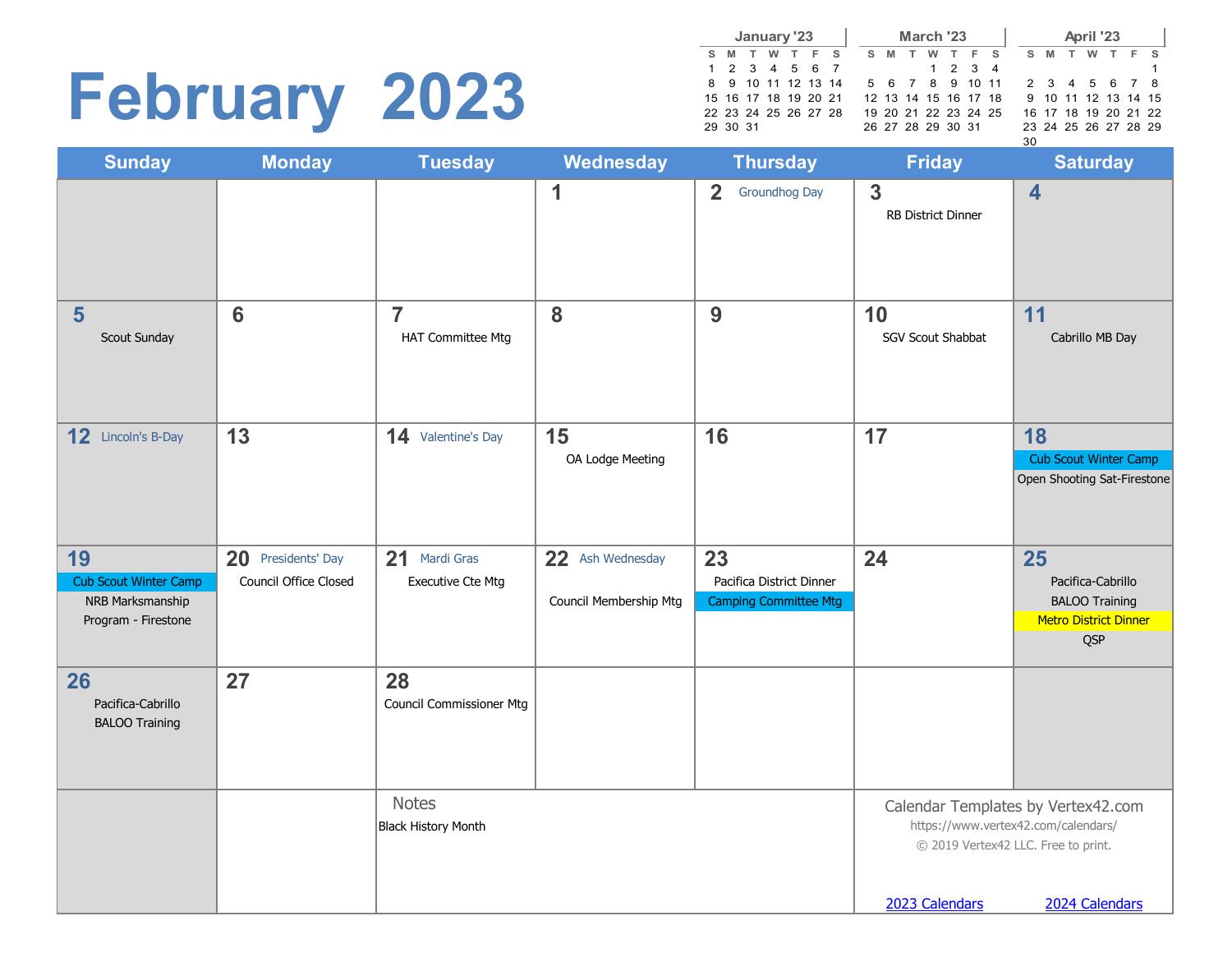# **February 2023**

**S M T W T F S**  $1 2 3 4 5$ <br>8 9 10 11 12 8 9 10 11 12 13 14 15 16 17 18 19 20 21 22 23 24 25 26 27 28 29 30 31 **January S M T W T F S** 1 2 3 4 5 6 7 8 9 10 11 12 13 14 15 16 17 18 19 20 21 22 23 24 25 26 27 28 29 30 31 **March '23 S M T W T F S** 1 2 3 4 5 6 7 8 9 10 11 12 13 14 15 16 17 18 19 20 21 22 23 24 25 26 27 28 29 30 **April '23**

| <b>Monday</b>                               | <b>Tuesday</b>                               | Wednesday                                     | <b>Thursday</b>                                                | <b>Friday</b>                             | <b>Saturday</b>                                                                              |
|---------------------------------------------|----------------------------------------------|-----------------------------------------------|----------------------------------------------------------------|-------------------------------------------|----------------------------------------------------------------------------------------------|
|                                             |                                              | 1                                             | $\overline{2}$<br><b>Groundhog Day</b>                         | $\mathbf{3}$<br><b>RB District Dinner</b> | $\overline{\mathbf{4}}$                                                                      |
| $6\phantom{1}6$                             | $\overline{7}$<br><b>HAT Committee Mtg</b>   | 8                                             | 9                                                              | 10<br><b>SGV Scout Shabbat</b>            | 11<br>Cabrillo MB Day                                                                        |
| 13                                          | 14 Valentine's Day                           | 15<br>OA Lodge Meeting                        | 16                                                             | 17                                        | 18<br>Cub Scout Winter Camp<br>Open Shooting Sat-Firestone                                   |
| 20 Presidents' Day<br>Council Office Closed | 21<br>Mardi Gras<br><b>Executive Cte Mtg</b> | 22<br>Ash Wednesday<br>Council Membership Mtg | 23<br>Pacifica District Dinner<br><b>Camping Committee Mtg</b> | 24                                        | 25<br>Pacifica-Cabrillo<br><b>BALOO Training</b><br><b>Metro District Dinner</b><br>QSP      |
| 27                                          | 28<br>Council Commissioner Mtg               |                                               |                                                                |                                           |                                                                                              |
|                                             | <b>Notes</b><br><b>Black History Month</b>   |                                               |                                                                |                                           | Calendar Templates by Vertex42.com<br>2024 Calendars                                         |
|                                             |                                              |                                               |                                                                |                                           | https://www.vertex42.com/calendars/<br>© 2019 Vertex42 LLC. Free to print.<br>2023 Calendars |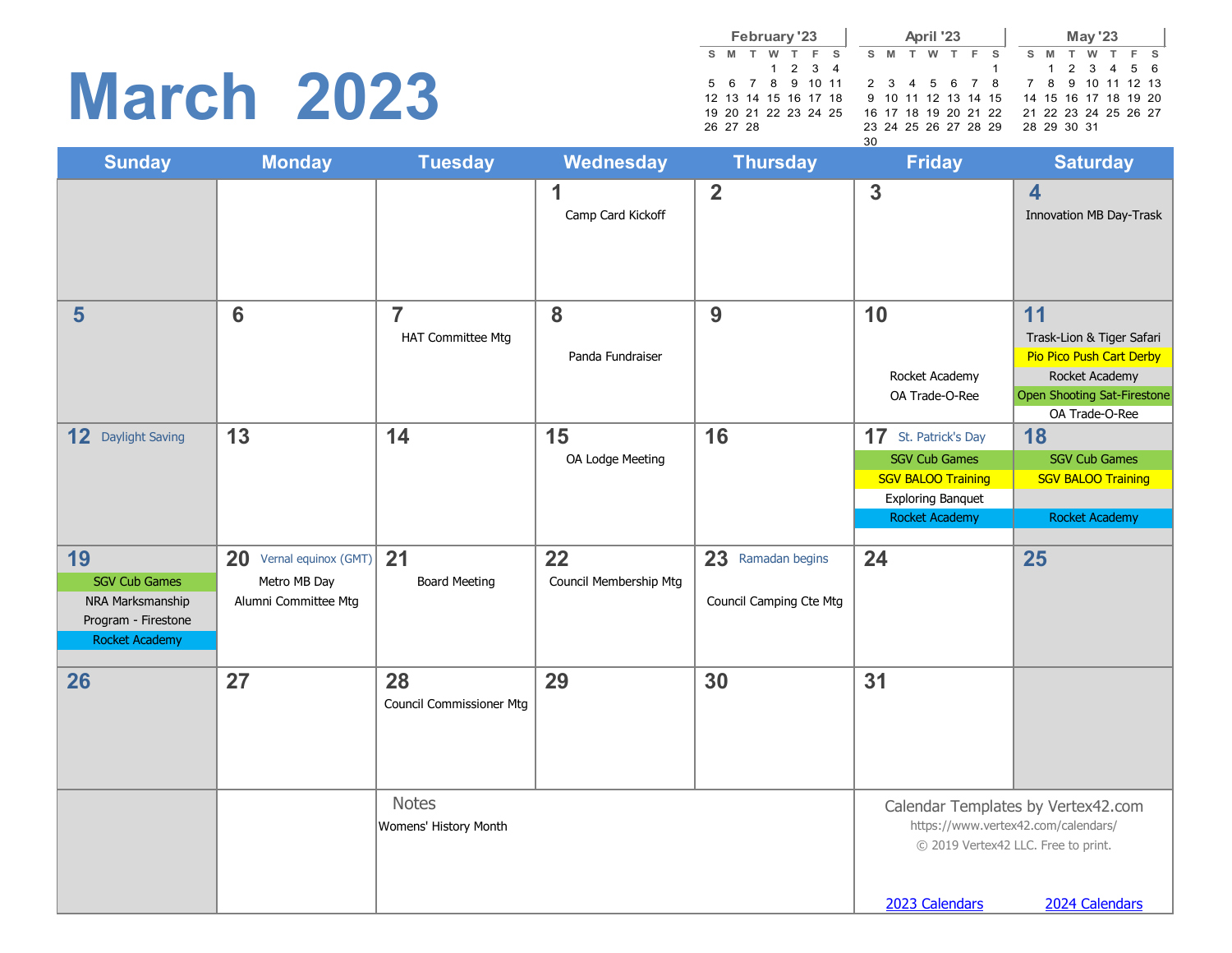### **March 2023**

|  |          | February '23 |                      |                      |    |  | April '23 |  |                                           |  |  | <b>May '23</b> |             |  |
|--|----------|--------------|----------------------|----------------------|----|--|-----------|--|-------------------------------------------|--|--|----------------|-------------|--|
|  |          |              | S M T W T F S        |                      |    |  |           |  | SMTWTFS SMTWTFS                           |  |  |                |             |  |
|  |          |              | 1 2 3 4              |                      |    |  |           |  |                                           |  |  |                | 1 2 3 4 5 6 |  |
|  |          |              |                      | 5 6 7 8 9 10 11      |    |  |           |  | 2 3 4 5 6 7 8 7 8 9 10 11 12 13           |  |  |                |             |  |
|  |          |              | 12 13 14 15 16 17 18 |                      |    |  |           |  | 9 10 11 12 13 14 15 14 15 16 17 18 19 20  |  |  |                |             |  |
|  |          |              |                      | 19 20 21 22 23 24 25 |    |  |           |  | 16 17 18 19 20 21 22 21 22 23 24 25 26 27 |  |  |                |             |  |
|  | 26 27 28 |              |                      |                      |    |  |           |  | 23 24 25 26 27 28 29 28 29 30 31          |  |  |                |             |  |
|  |          |              |                      |                      | วก |  |           |  |                                           |  |  |                |             |  |

|                                                                                                |                                                                 |                                            |                              |                                              | 30                                                                                                                                    |                                                                                                                                    |
|------------------------------------------------------------------------------------------------|-----------------------------------------------------------------|--------------------------------------------|------------------------------|----------------------------------------------|---------------------------------------------------------------------------------------------------------------------------------------|------------------------------------------------------------------------------------------------------------------------------------|
| <b>Sunday</b>                                                                                  | <b>Monday</b>                                                   | <b>Tuesday</b>                             | <b>Wednesday</b>             | <b>Thursday</b>                              | <b>Friday</b>                                                                                                                         | <b>Saturday</b>                                                                                                                    |
|                                                                                                |                                                                 |                                            | 1<br>Camp Card Kickoff       | $\overline{2}$                               | $\overline{3}$                                                                                                                        | $\overline{\mathbf{4}}$<br>Innovation MB Day-Trask                                                                                 |
| 5                                                                                              | 6                                                               | $\overline{7}$<br><b>HAT Committee Mtg</b> | 8<br>Panda Fundraiser        | 9                                            | 10<br>Rocket Academy<br>OA Trade-O-Ree                                                                                                | 11<br>Trask-Lion & Tiger Safari<br>Pio Pico Push Cart Derby<br>Rocket Academy<br>Open Shooting Sat-Firestone<br>OA Trade-O-Ree     |
| 12 Daylight Saving                                                                             | 13                                                              | 14                                         | 15<br>OA Lodge Meeting       | 16                                           | <b>17</b> St. Patrick's Day<br><b>SGV Cub Games</b><br><b>SGV BALOO Training</b><br><b>Exploring Banquet</b><br><b>Rocket Academy</b> | 18<br><b>SGV Cub Games</b><br><b>SGV BALOO Training</b><br><b>Rocket Academy</b>                                                   |
| 19<br><b>SGV Cub Games</b><br>NRA Marksmanship<br>Program - Firestone<br><b>Rocket Academy</b> | 20 Vernal equinox (GMT)<br>Metro MB Day<br>Alumni Committee Mtg | 21<br><b>Board Meeting</b>                 | 22<br>Council Membership Mtg | 23 Ramadan begins<br>Council Camping Cte Mtg | 24                                                                                                                                    | 25                                                                                                                                 |
| 26                                                                                             | 27                                                              | 28<br><b>Council Commissioner Mtg</b>      | 29                           | 30                                           | 31                                                                                                                                    |                                                                                                                                    |
|                                                                                                |                                                                 | <b>Notes</b><br>Womens' History Month      |                              |                                              | 2023 Calendars                                                                                                                        | Calendar Templates by Vertex42.com<br>https://www.vertex42.com/calendars/<br>© 2019 Vertex42 LLC. Free to print.<br>2024 Calendars |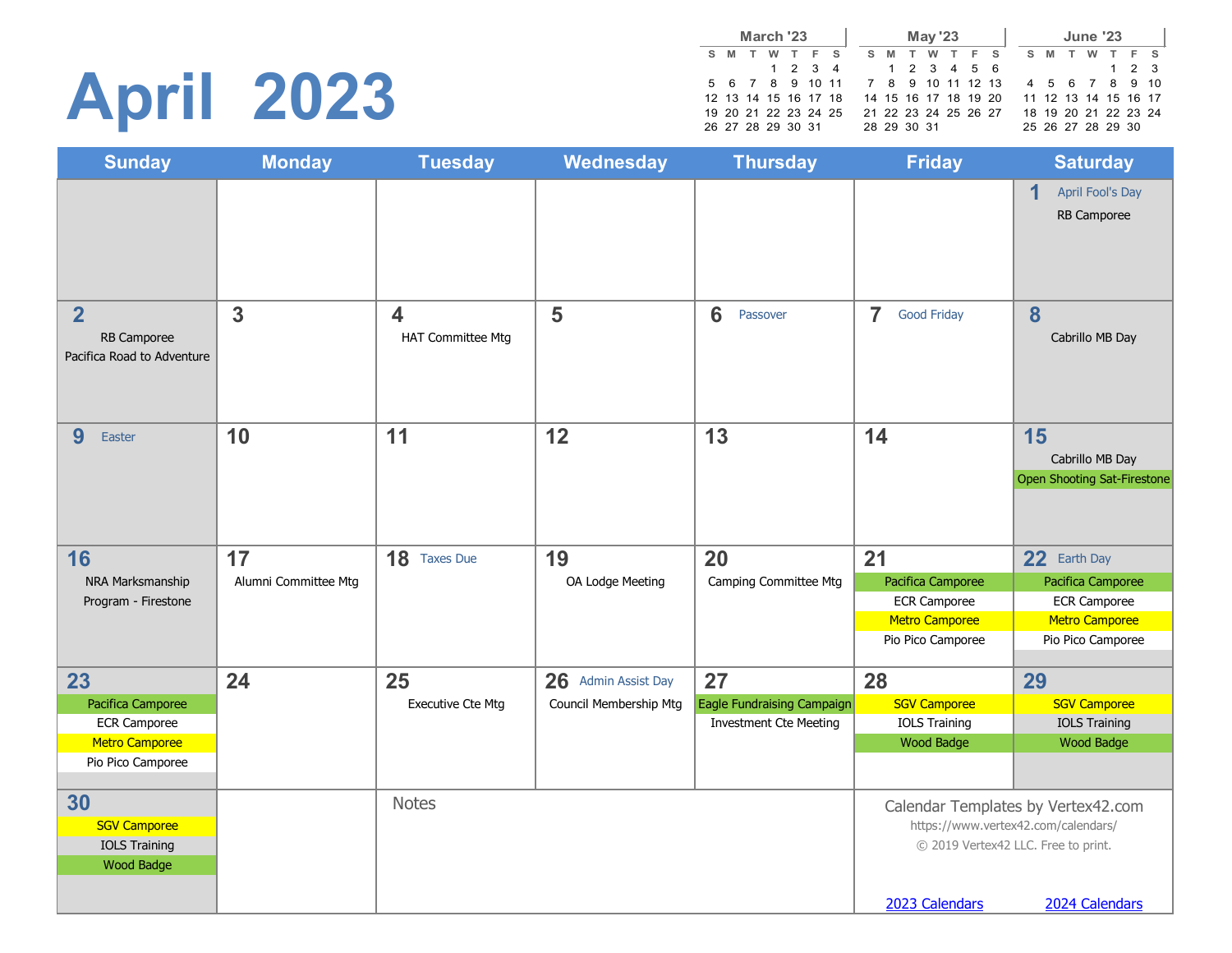# **April 2023**

|                                   | March '23 |         |  |  |       | <b>May '23</b>       |         |                      |  |                   | <b>June '23</b> |                      |  |
|-----------------------------------|-----------|---------|--|--|-------|----------------------|---------|----------------------|--|-------------------|-----------------|----------------------|--|
| S M                               | w         | T F S   |  |  | S M T |                      | W T F S |                      |  | S M T             | <b>W</b>        | T F S                |  |
|                                   |           | 1 2 3 4 |  |  |       | 1 2 3 4 5 6          |         |                      |  |                   |                 | $1 \t2 \t3$          |  |
| 5 6 7 8 9 10 11 7 8 9 10 11 12 13 |           |         |  |  |       |                      |         |                      |  |                   |                 | 4 5 6 7 8 9 10       |  |
| 12 13 14 15 16 17 18              |           |         |  |  |       | 14 15 16 17 18 19 20 |         |                      |  |                   |                 | 11 12 13 14 15 16 17 |  |
| 19 20 21 22 23 24 25              |           |         |  |  |       |                      |         | 21 22 23 24 25 26 27 |  |                   |                 | 18 19 20 21 22 23 24 |  |
| 26 27 28 29 30 31                 |           |         |  |  |       | 28 29 30 31          |         |                      |  | 25 26 27 28 29 30 |                 |                      |  |

| <b>Sunday</b>                                                        | <b>Monday</b>        | <b>Tuesday</b>                | Wednesday              | <b>Thursday</b>               | <b>Friday</b>                        | <b>Saturday</b>                                      |
|----------------------------------------------------------------------|----------------------|-------------------------------|------------------------|-------------------------------|--------------------------------------|------------------------------------------------------|
|                                                                      |                      |                               |                        |                               |                                      | 1<br>April Fool's Day<br>RB Camporee                 |
| $\overline{\mathbf{2}}$<br>RB Camporee<br>Pacifica Road to Adventure | 3                    | 4<br><b>HAT Committee Mtg</b> | 5                      | 6<br>Passover                 | $\overline{7}$<br><b>Good Friday</b> | 8<br>Cabrillo MB Day                                 |
| 9<br>Easter                                                          | 10                   | 11                            | 12                     | 13                            | 14                                   | 15<br>Cabrillo MB Day<br>Open Shooting Sat-Firestone |
| 16                                                                   | 17                   | 18 Taxes Due                  | 19                     | 20                            | 21                                   | 22 Earth Day                                         |
| NRA Marksmanship                                                     | Alumni Committee Mtg |                               | OA Lodge Meeting       | Camping Committee Mtg         | Pacifica Camporee                    | Pacifica Camporee                                    |
| Program - Firestone                                                  |                      |                               |                        |                               | <b>ECR Camporee</b>                  | <b>ECR Camporee</b>                                  |
|                                                                      |                      |                               |                        |                               | <b>Metro Camporee</b>                | <b>Metro Camporee</b>                                |
|                                                                      |                      |                               |                        |                               | Pio Pico Camporee                    | Pio Pico Camporee                                    |
| 23                                                                   | 24                   | 25                            | 26 Admin Assist Day    | 27                            | 28                                   | 29                                                   |
| Pacifica Camporee                                                    |                      | <b>Executive Cte Mtg</b>      | Council Membership Mtg | Eagle Fundraising Campaign    | <b>SGV Camporee</b>                  | <b>SGV Camporee</b>                                  |
| <b>ECR Camporee</b>                                                  |                      |                               |                        | <b>Investment Cte Meeting</b> | <b>IOLS Training</b>                 | <b>IOLS Training</b>                                 |
| <b>Metro Camporee</b>                                                |                      |                               |                        |                               | <b>Wood Badge</b>                    | Wood Badge                                           |
| Pio Pico Camporee                                                    |                      |                               |                        |                               |                                      |                                                      |
| 30                                                                   |                      | <b>Notes</b>                  |                        |                               |                                      | Calendar Templates by Vertex42.com                   |
| <b>SGV Camporee</b>                                                  |                      |                               |                        |                               |                                      | https://www.vertex42.com/calendars/                  |
| <b>IOLS Training</b>                                                 |                      |                               |                        |                               |                                      | © 2019 Vertex42 LLC. Free to print.                  |
| <b>Wood Badge</b>                                                    |                      |                               |                        |                               |                                      |                                                      |
|                                                                      |                      |                               |                        |                               |                                      |                                                      |
|                                                                      |                      |                               |                        |                               | 2023 Calendars                       | 2024 Calendars                                       |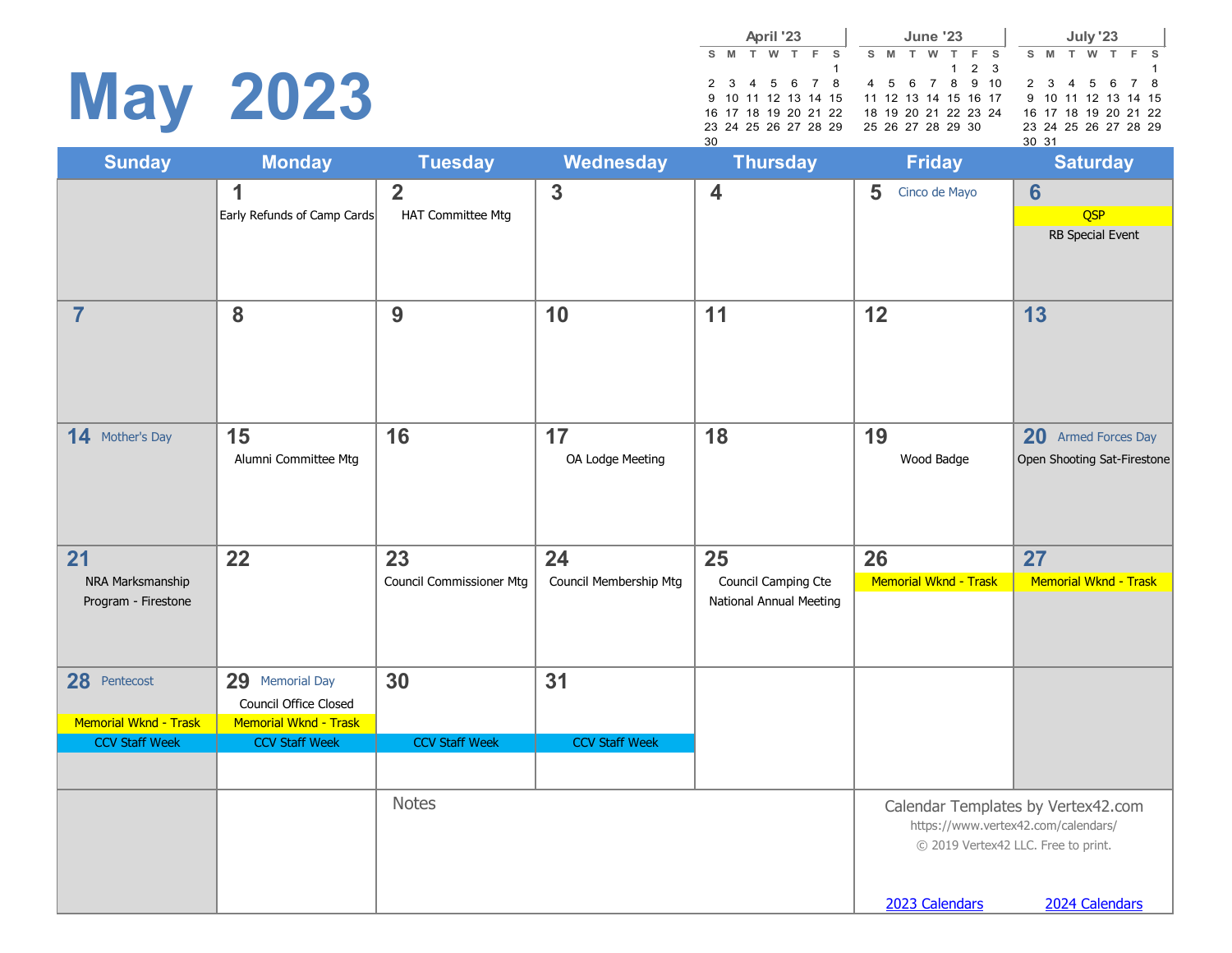# **May 2023**

|     |               | April '23 |  |                                          |  |                      |  | <b>June '23</b> |             |               |       |  | July '23             |  |  |
|-----|---------------|-----------|--|------------------------------------------|--|----------------------|--|-----------------|-------------|---------------|-------|--|----------------------|--|--|
|     | S M T W T F S |           |  |                                          |  |                      |  |                 |             | S M T W T F S |       |  | S M T W T F S        |  |  |
|     |               |           |  |                                          |  |                      |  |                 | $1 \t2 \t3$ |               |       |  |                      |  |  |
|     |               |           |  | 2 3 4 5 6 7 8 4 5 6 7 8 9 10             |  |                      |  |                 |             |               |       |  | 2 3 4 5 6 7 8        |  |  |
|     |               |           |  | 9 10 11 12 13 14 15 11 12 13 14 15 16 17 |  |                      |  |                 |             |               |       |  | 9 10 11 12 13 14 15  |  |  |
|     |               |           |  | 16 17 18 19 20 21 22                     |  | 18 19 20 21 22 23 24 |  |                 |             |               |       |  | 16 17 18 19 20 21 22 |  |  |
|     |               |           |  | 23 24 25 26 27 28 29 25 26 27 28 29 30   |  |                      |  |                 |             |               |       |  | 23 24 25 26 27 28 29 |  |  |
| 30. |               |           |  |                                          |  |                      |  |                 |             |               | 30 31 |  |                      |  |  |

|                                         |                                                    |                                     |                        | 30                                             |                       | 30 31                                                                                                            |
|-----------------------------------------|----------------------------------------------------|-------------------------------------|------------------------|------------------------------------------------|-----------------------|------------------------------------------------------------------------------------------------------------------|
| <b>Sunday</b>                           | <b>Monday</b>                                      | <b>Tuesday</b>                      | <b>Wednesday</b>       | <b>Thursday</b>                                | <b>Friday</b>         | <b>Saturday</b>                                                                                                  |
|                                         | 1<br>Early Refunds of Camp Cards                   | $\overline{2}$<br>HAT Committee Mtg | $\overline{3}$         | $\overline{\mathbf{4}}$                        | 5<br>Cinco de Mayo    | $6\phantom{1}6$<br>QSP<br>RB Special Event                                                                       |
| $\overline{7}$                          | 8                                                  | 9                                   | 10                     | 11                                             | 12                    | 13                                                                                                               |
| 14 Mother's Day                         | 15<br>Alumni Committee Mtg                         | 16                                  | 17<br>OA Lodge Meeting | 18                                             | 19<br>Wood Badge      | <b>20</b><br><b>Armed Forces Day</b><br>Open Shooting Sat-Firestone                                              |
| 21                                      | 22                                                 | 23                                  | 24                     | 25                                             | 26                    | 27                                                                                                               |
| NRA Marksmanship<br>Program - Firestone |                                                    | <b>Council Commissioner Mtg</b>     | Council Membership Mtg | Council Camping Cte<br>National Annual Meeting | Memorial Wknd - Trask | Memorial Wknd - Trask                                                                                            |
| 28 Pentecost                            | 29<br><b>Memorial Day</b><br>Council Office Closed | 30                                  | 31                     |                                                |                       |                                                                                                                  |
| Memorial Wknd - Trask                   | Memorial Wknd - Trask                              |                                     |                        |                                                |                       |                                                                                                                  |
| <b>CCV Staff Week</b>                   | <b>CCV Staff Week</b>                              | <b>CCV Staff Week</b>               | <b>CCV Staff Week</b>  |                                                |                       |                                                                                                                  |
|                                         |                                                    | <b>Notes</b>                        |                        |                                                |                       | Calendar Templates by Vertex42.com<br>https://www.vertex42.com/calendars/<br>© 2019 Vertex42 LLC. Free to print. |
|                                         |                                                    |                                     |                        |                                                | 2023 Calendars        | 2024 Calendars                                                                                                   |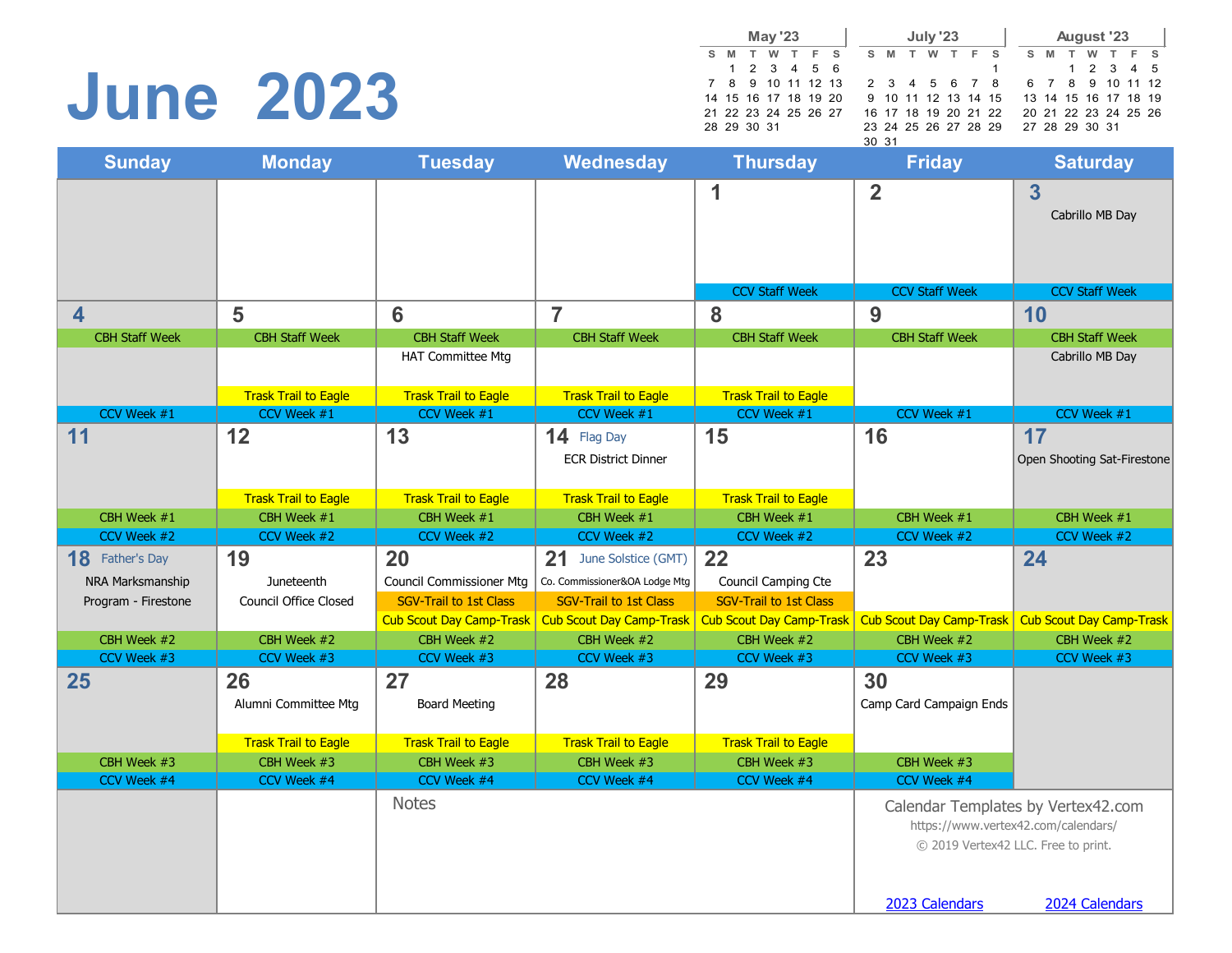### **June 2023**

|  |       |             | <b>May '23</b> |   |                      |       |   |       |   | <b>July '23</b> |   |     |                                          |    |   | <b>August '23</b> |                      |     |
|--|-------|-------------|----------------|---|----------------------|-------|---|-------|---|-----------------|---|-----|------------------------------------------|----|---|-------------------|----------------------|-----|
|  | $S$ M | T           | w              | T |                      | $F$ S | s | M     | T | w               | T | - F | - S                                      | S. | M | w                 |                      | F S |
|  |       |             |                |   | 1 2 3 4 5 6          |       |   |       |   |                 |   |     |                                          |    |   |                   | 1 2 3 4 5            |     |
|  |       |             |                |   | 7 8 9 10 11 12 13    |       |   |       |   |                 |   |     | 2 3 4 5 6 7 8 6 7 8 9 10 11 12           |    |   |                   |                      |     |
|  |       |             |                |   | 14 15 16 17 18 19 20 |       |   |       |   |                 |   |     | 9 10 11 12 13 14 15 13 14 15 16 17 18 19 |    |   |                   |                      |     |
|  |       |             |                |   | 21 22 23 24 25 26 27 |       |   |       |   |                 |   |     | 16 17 18 19 20 21 22                     |    |   |                   | 20 21 22 23 24 25 26 |     |
|  |       | 28 29 30 31 |                |   |                      |       |   |       |   |                 |   |     | 23 24 25 26 27 28 29                     |    |   | 27 28 29 30 31    |                      |     |
|  |       |             |                |   |                      |       |   | 30 31 |   |                 |   |     |                                          |    |   |                   |                      |     |

| <b>Sunday</b>          | <b>Monday</b>                | <b>Tuesday</b>                  | <b>Wednesday</b>                | <b>Thursday</b>                 | <b>Friday</b>                   | <b>Saturday</b>                     |
|------------------------|------------------------------|---------------------------------|---------------------------------|---------------------------------|---------------------------------|-------------------------------------|
|                        |                              |                                 |                                 | 1                               | $\overline{2}$                  | 3                                   |
|                        |                              |                                 |                                 |                                 |                                 | Cabrillo MB Day                     |
|                        |                              |                                 |                                 |                                 |                                 |                                     |
|                        |                              |                                 |                                 |                                 |                                 |                                     |
|                        |                              |                                 |                                 | <b>CCV Staff Week</b>           | <b>CCV Staff Week</b>           | <b>CCV Staff Week</b>               |
| 4                      | 5                            | 6                               | $\overline{7}$                  | 8                               | 9                               | 10                                  |
| <b>CBH Staff Week</b>  | <b>CBH Staff Week</b>        | <b>CBH Staff Week</b>           | <b>CBH Staff Week</b>           | <b>CBH Staff Week</b>           | <b>CBH Staff Week</b>           | <b>CBH Staff Week</b>               |
|                        |                              | <b>HAT Committee Mtg</b>        |                                 |                                 |                                 | Cabrillo MB Day                     |
|                        | <b>Trask Trail to Eagle</b>  | <b>Trask Trail to Eagle</b>     | <b>Trask Trail to Eagle</b>     | <b>Trask Trail to Eagle</b>     |                                 |                                     |
| CCV Week #1            | CCV Week #1                  | CCV Week #1                     | CCV Week #1                     | CCV Week #1                     | CCV Week #1                     | CCV Week #1                         |
| 11                     | 12                           | 13                              | 14 Flag Day                     | 15                              | 16                              | 17                                  |
|                        |                              |                                 | <b>ECR District Dinner</b>      |                                 |                                 | Open Shooting Sat-Firestone         |
|                        |                              |                                 |                                 |                                 |                                 |                                     |
|                        | <b>Trask Trail to Eagle</b>  | <b>Trask Trail to Eagle</b>     | <b>Trask Trail to Eagle</b>     | <b>Trask Trail to Eagle</b>     |                                 |                                     |
| CBH Week #1            | CBH Week #1                  | CBH Week #1                     | CBH Week #1                     | CBH Week #1                     | CBH Week #1                     | CBH Week #1                         |
| CCV Week #2            | CCV Week #2                  | CCV Week #2                     | CCV Week #2                     | CCV Week #2                     | CCV Week #2                     | CCV Week #2                         |
| <b>18</b> Father's Day | 19                           | 20                              | 21<br>June Solstice (GMT)       | 22                              | 23                              | 24                                  |
| NRA Marksmanship       | Juneteenth                   | Council Commissioner Mtg        | Co. Commissioner&OA Lodge Mtg   | Council Camping Cte             |                                 |                                     |
| Program - Firestone    | <b>Council Office Closed</b> | <b>SGV-Trail to 1st Class</b>   | <b>SGV-Trail to 1st Class</b>   | <b>SGV-Trail to 1st Class</b>   |                                 |                                     |
|                        |                              | <b>Cub Scout Day Camp-Trask</b> | <b>Cub Scout Day Camp-Trask</b> | <b>Cub Scout Day Camp-Trask</b> | <b>Cub Scout Day Camp-Trask</b> | <b>Cub Scout Day Camp-Trask</b>     |
| CBH Week #2            | CBH Week #2                  | CBH Week #2                     | CBH Week #2                     | CBH Week #2                     | CBH Week #2                     | CBH Week #2                         |
| CCV Week #3            | CCV Week #3                  | CCV Week #3                     | CCV Week #3                     | CCV Week #3                     | CCV Week #3                     | CCV Week #3                         |
| 25                     | 26                           | 27                              | 28                              | 29                              | 30                              |                                     |
|                        | Alumni Committee Mtg         | <b>Board Meeting</b>            |                                 |                                 | Camp Card Campaign Ends         |                                     |
|                        |                              |                                 |                                 |                                 |                                 |                                     |
|                        | <b>Trask Trail to Eagle</b>  | <b>Trask Trail to Eagle</b>     | <b>Trask Trail to Eagle</b>     | <b>Trask Trail to Eagle</b>     |                                 |                                     |
| CBH Week #3            | CBH Week #3                  | CBH Week #3                     | CBH Week #3                     | CBH Week #3                     | CBH Week #3                     |                                     |
| CCV Week #4            | CCV Week #4                  | CCV Week #4                     | CCV Week #4                     | CCV Week #4                     | CCV Week #4                     |                                     |
|                        |                              | <b>Notes</b>                    |                                 |                                 |                                 | Calendar Templates by Vertex42.com  |
|                        |                              |                                 |                                 |                                 |                                 | https://www.vertex42.com/calendars/ |
|                        |                              |                                 |                                 |                                 |                                 | © 2019 Vertex42 LLC. Free to print. |
|                        |                              |                                 |                                 |                                 |                                 |                                     |
|                        |                              |                                 |                                 |                                 | 2023 Calendars                  | 2024 Calendars                      |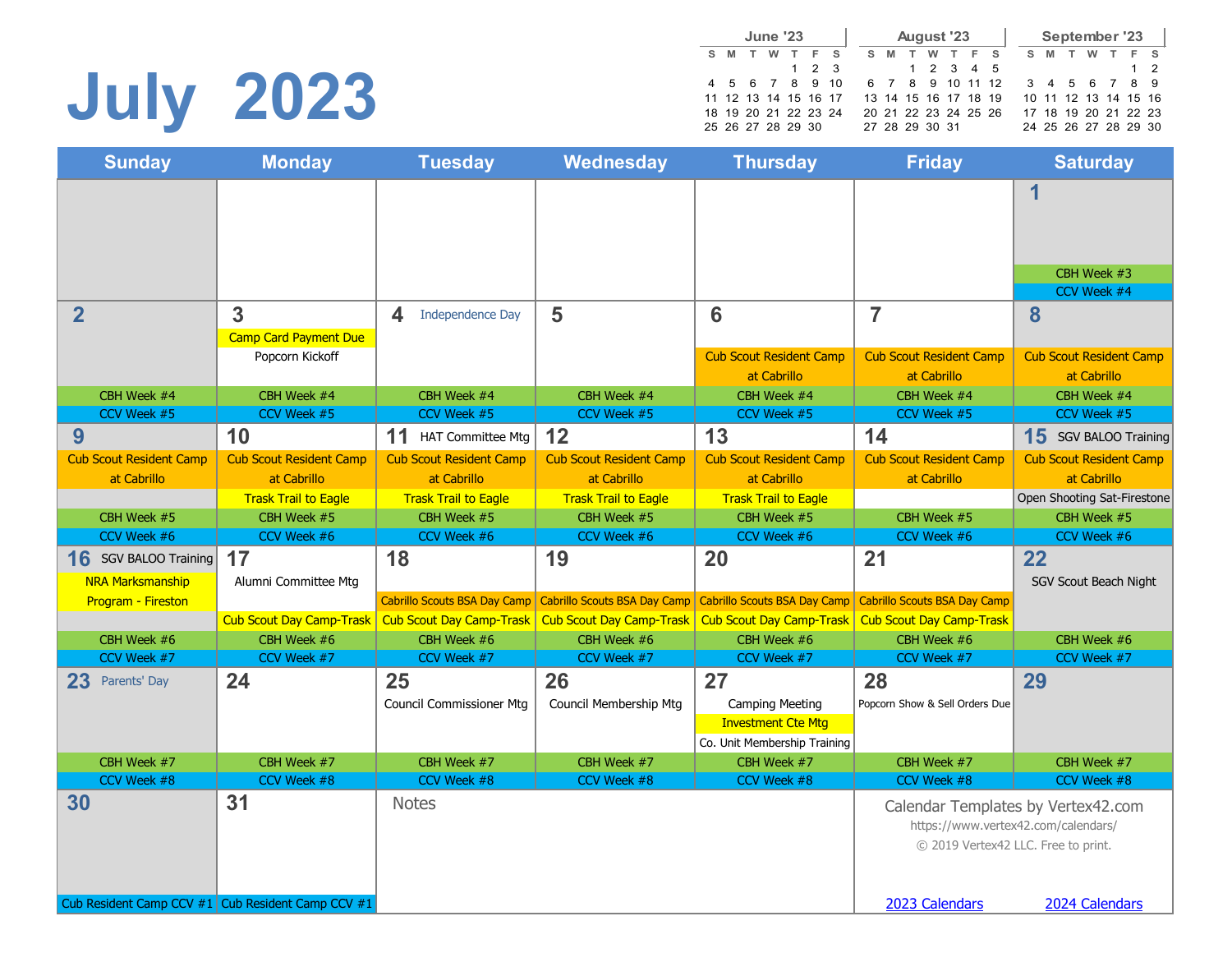# **July 2023**

|   |   |   | <b>June '23</b>      |             |              |    |   | <b>August '23</b>    |  |   |                  |   |   |   | September '23        |          |
|---|---|---|----------------------|-------------|--------------|----|---|----------------------|--|---|------------------|---|---|---|----------------------|----------|
| s | M | w |                      | E.          | $\mathbf{s}$ | s. | M |                      |  | E | - S              | s | M | w |                      | $F$ S    |
|   |   |   |                      | $1 \t2 \t3$ |              |    |   | 1 2 3 4 5            |  |   |                  |   |   |   |                      | $1\quad$ |
|   |   |   | 4 5 6 7 8 9 10       |             |              |    |   |                      |  |   | 6 7 8 9 10 11 12 |   |   |   | 3 4 5 6 7 8 9        |          |
|   |   |   | 11 12 13 14 15 16 17 |             |              |    |   | 13 14 15 16 17 18 19 |  |   |                  |   |   |   | 10 11 12 13 14 15 16 |          |
|   |   |   | 18 19 20 21 22 23 24 |             |              |    |   | 20 21 22 23 24 25 26 |  |   |                  |   |   |   | 17 18 19 20 21 22 23 |          |
|   |   |   | 25 26 27 28 29 30    |             |              |    |   | 27 28 29 30 31       |  |   |                  |   |   |   | 24 25 26 27 28 29 30 |          |

| <b>Sunday</b>                                         | <b>Monday</b>                   | <b>Tuesday</b>                      | Wednesday                           | <b>Thursday</b>                     | <b>Friday</b>                                                              | <b>Saturday</b>                    |
|-------------------------------------------------------|---------------------------------|-------------------------------------|-------------------------------------|-------------------------------------|----------------------------------------------------------------------------|------------------------------------|
|                                                       |                                 |                                     |                                     |                                     |                                                                            | 1                                  |
|                                                       |                                 |                                     |                                     |                                     |                                                                            |                                    |
|                                                       |                                 |                                     |                                     |                                     |                                                                            | CBH Week #3<br>CCV Week #4         |
| $\overline{2}$                                        | 3                               | 4<br><b>Independence Day</b>        | 5                                   | 6                                   | $\overline{7}$                                                             | 8                                  |
|                                                       | <b>Camp Card Payment Due</b>    |                                     |                                     |                                     |                                                                            |                                    |
|                                                       | Popcorn Kickoff                 |                                     |                                     | <b>Cub Scout Resident Camp</b>      | <b>Cub Scout Resident Camp</b>                                             | <b>Cub Scout Resident Camp</b>     |
|                                                       |                                 |                                     |                                     | at Cabrillo                         | at Cabrillo                                                                | at Cabrillo                        |
| CBH Week #4                                           | CBH Week #4                     | CBH Week #4                         | CBH Week #4                         | CBH Week #4                         | CBH Week #4                                                                | CBH Week #4                        |
| CCV Week #5                                           | CCV Week #5                     | CCV Week #5                         | CCV Week #5                         | CCV Week #5                         | CCV Week #5                                                                | CCV Week #5                        |
| 9                                                     | 10                              | 11<br><b>HAT Committee Mtg</b>      | 12                                  | 13                                  | 14                                                                         | 15 SGV BALOO Training              |
| <b>Cub Scout Resident Camp</b>                        | <b>Cub Scout Resident Camp</b>  | <b>Cub Scout Resident Camp</b>      | <b>Cub Scout Resident Camp</b>      | <b>Cub Scout Resident Camp</b>      | <b>Cub Scout Resident Camp</b>                                             | <b>Cub Scout Resident Camp</b>     |
| at Cabrillo                                           | at Cabrillo                     | at Cabrillo                         | at Cabrillo                         | at Cabrillo                         | at Cabrillo                                                                | at Cabrillo                        |
|                                                       | <b>Trask Trail to Eagle</b>     | <b>Trask Trail to Eagle</b>         | <b>Trask Trail to Eagle</b>         | <b>Trask Trail to Eagle</b>         |                                                                            | Open Shooting Sat-Firestone        |
| CBH Week #5                                           | CBH Week #5                     | CBH Week #5                         | CBH Week #5                         | CBH Week #5                         | CBH Week #5                                                                | CBH Week #5                        |
| CCV Week #6                                           | CCV Week #6                     | CCV Week #6                         | CCV Week #6                         | CCV Week #6                         | CCV Week #6                                                                | CCV Week #6                        |
| 16<br>SGV BALOO Training                              | 17                              | 18                                  | 19                                  | 20                                  | 21                                                                         | 22                                 |
| <b>NRA Marksmanship</b>                               | Alumni Committee Mtg            |                                     |                                     |                                     |                                                                            | SGV Scout Beach Night              |
| Program - Fireston                                    |                                 | <b>Cabrillo Scouts BSA Day Camp</b> | <b>Cabrillo Scouts BSA Day Camp</b> | <b>Cabrillo Scouts BSA Day Camp</b> | <b>Cabrillo Scouts BSA Day Camp</b>                                        |                                    |
|                                                       | <b>Cub Scout Day Camp-Trask</b> | <b>Cub Scout Day Camp-Trask</b>     | <b>Cub Scout Day Camp-Trask</b>     | <b>Cub Scout Day Camp-Trask</b>     | <b>Cub Scout Day Camp-Trask</b>                                            |                                    |
| CBH Week #6                                           | CBH Week #6                     | CBH Week #6                         | CBH Week #6                         | CBH Week #6                         | CBH Week #6                                                                | CBH Week #6                        |
| CCV Week #7                                           | CCV Week #7                     | CCV Week #7                         | CCV Week #7                         | CCV Week #7                         | CCV Week #7                                                                | CCV Week #7                        |
| 23<br>Parents' Day                                    | 24                              | 25                                  | 26                                  | 27                                  | 28                                                                         | 29                                 |
|                                                       |                                 | <b>Council Commissioner Mtg</b>     | Council Membership Mtg              | <b>Camping Meeting</b>              | Popcorn Show & Sell Orders Due                                             |                                    |
|                                                       |                                 |                                     |                                     | <b>Investment Cte Mtg</b>           |                                                                            |                                    |
|                                                       |                                 |                                     |                                     | Co. Unit Membership Training        |                                                                            |                                    |
| CBH Week #7                                           | CBH Week #7                     | CBH Week #7                         | CBH Week #7                         | CBH Week #7                         | CBH Week #7                                                                | CBH Week #7                        |
| CCV Week #8                                           | CCV Week #8                     | CCV Week #8                         | CCV Week #8                         | CCV Week #8                         | CCV Week #8                                                                | CCV Week #8                        |
| 30                                                    | 31                              | <b>Notes</b>                        |                                     |                                     | https://www.vertex42.com/calendars/<br>© 2019 Vertex42 LLC. Free to print. | Calendar Templates by Vertex42.com |
| Cub Resident Camp CCV $#1$ Cub Resident Camp CCV $#1$ |                                 |                                     |                                     |                                     | 2023 Calendars                                                             | 2024 Calendars                     |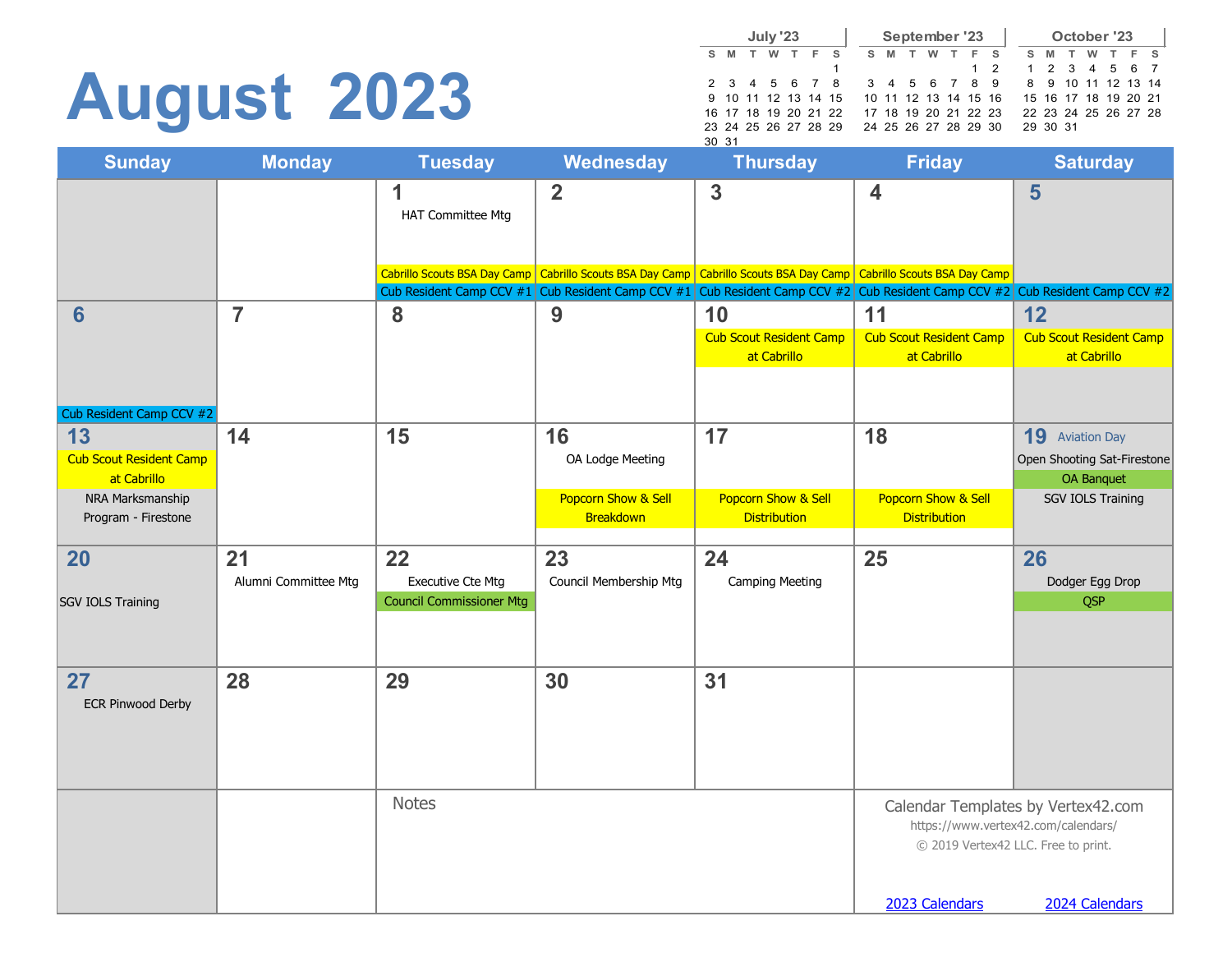# **August 2023**

|    |                      | July '23 |   |     |                                          |  |       |   |   | September '23        |               |                      |          | October '23        |          |       |  |
|----|----------------------|----------|---|-----|------------------------------------------|--|-------|---|---|----------------------|---------------|----------------------|----------|--------------------|----------|-------|--|
| s. | <b>M</b>             | <b>W</b> | T | F S |                                          |  | $S$ M | T | w | F S                  |               | S M                  |          | T                  | <b>W</b> | T F S |  |
|    |                      |          |   |     |                                          |  |       |   |   |                      | $1\quad 2$    |                      |          | 1 2 3 4 5 6 7      |          |       |  |
|    | 2 3 4 5 6 7 8        |          |   |     |                                          |  |       |   |   |                      | 3 4 5 6 7 8 9 |                      |          | 8 9 10 11 12 13 14 |          |       |  |
|    |                      |          |   |     | 9 10 11 12 13 14 15 10 11 12 13 14 15 16 |  |       |   |   |                      |               | 15 16 17 18 19 20 21 |          |                    |          |       |  |
|    | 16 17 18 19 20 21 22 |          |   |     |                                          |  |       |   |   | 17 18 19 20 21 22 23 |               | 22 23 24 25 26 27 28 |          |                    |          |       |  |
|    | 23 24 25 26 27 28 29 |          |   |     |                                          |  |       |   |   | 24 25 26 27 28 29 30 |               |                      | 29 30 31 |                    |          |       |  |
|    | 30 31                |          |   |     |                                          |  |       |   |   |                      |               |                      |          |                    |          |       |  |

| <b>Sunday</b>                   | <b>Monday</b>        | <b>Tuesday</b>                  | <b>Wednesday</b>       | <b>Thursday</b>                                                                                                                                                                                                                                           | <b>Friday</b>                  | <b>Saturday</b>                                                            |
|---------------------------------|----------------------|---------------------------------|------------------------|-----------------------------------------------------------------------------------------------------------------------------------------------------------------------------------------------------------------------------------------------------------|--------------------------------|----------------------------------------------------------------------------|
|                                 |                      | 1<br><b>HAT Committee Mtg</b>   | $\overline{2}$         | 3                                                                                                                                                                                                                                                         | $\overline{\mathbf{4}}$        | 5                                                                          |
|                                 |                      |                                 |                        | Cabrillo Scouts BSA Day Camp   Cabrillo Scouts BSA Day Camp   Cabrillo Scouts BSA Day Camp   Cabrillo Scouts BSA Day Camp<br>Cub Resident Camp CCV #1 Cub Resident Camp CCV #1 Cub Resident Camp CCV #2 Cub Resident Camp CCV #2 Cub Resident Camp CCV #2 |                                |                                                                            |
| 6                               | $\overline{7}$       | 8                               | 9                      | 10                                                                                                                                                                                                                                                        | 11                             | 12                                                                         |
|                                 |                      |                                 |                        | <b>Cub Scout Resident Camp</b>                                                                                                                                                                                                                            | <b>Cub Scout Resident Camp</b> | <b>Cub Scout Resident Camp</b>                                             |
|                                 |                      |                                 |                        | at Cabrillo                                                                                                                                                                                                                                               | at Cabrillo                    | at Cabrillo                                                                |
| Cub Resident Camp CCV #2        |                      |                                 |                        |                                                                                                                                                                                                                                                           |                                |                                                                            |
| 13                              | 14                   | 15                              | 16                     | 17                                                                                                                                                                                                                                                        | 18                             | <b>19</b> Aviation Day                                                     |
| <b>Cub Scout Resident Camp</b>  |                      |                                 | OA Lodge Meeting       |                                                                                                                                                                                                                                                           |                                | Open Shooting Sat-Firestone                                                |
| at Cabrillo<br>NRA Marksmanship |                      |                                 | Popcorn Show & Sell    | Popcorn Show & Sell                                                                                                                                                                                                                                       | Popcorn Show & Sell            | OA Banquet<br><b>SGV IOLS Training</b>                                     |
| Program - Firestone             |                      |                                 | Breakdown              | <b>Distribution</b>                                                                                                                                                                                                                                       | <b>Distribution</b>            |                                                                            |
| 20                              | 21                   | 22                              | 23                     | 24                                                                                                                                                                                                                                                        | 25                             | 26                                                                         |
|                                 | Alumni Committee Mtg | <b>Executive Cte Mtg</b>        | Council Membership Mtg | <b>Camping Meeting</b>                                                                                                                                                                                                                                    |                                | Dodger Egg Drop                                                            |
| SGV IOLS Training               |                      | <b>Council Commissioner Mtg</b> |                        |                                                                                                                                                                                                                                                           |                                | <b>QSP</b>                                                                 |
|                                 |                      |                                 |                        |                                                                                                                                                                                                                                                           |                                |                                                                            |
| 27                              | 28                   | 29                              | 30                     | 31                                                                                                                                                                                                                                                        |                                |                                                                            |
| <b>ECR Pinwood Derby</b>        |                      |                                 |                        |                                                                                                                                                                                                                                                           |                                |                                                                            |
|                                 |                      |                                 |                        |                                                                                                                                                                                                                                                           |                                |                                                                            |
|                                 |                      |                                 |                        |                                                                                                                                                                                                                                                           |                                |                                                                            |
|                                 |                      | <b>Notes</b>                    |                        |                                                                                                                                                                                                                                                           |                                | Calendar Templates by Vertex42.com                                         |
|                                 |                      |                                 |                        |                                                                                                                                                                                                                                                           |                                | https://www.vertex42.com/calendars/<br>© 2019 Vertex42 LLC. Free to print. |
|                                 |                      |                                 |                        |                                                                                                                                                                                                                                                           | 2023 Calendars                 | 2024 Calendars                                                             |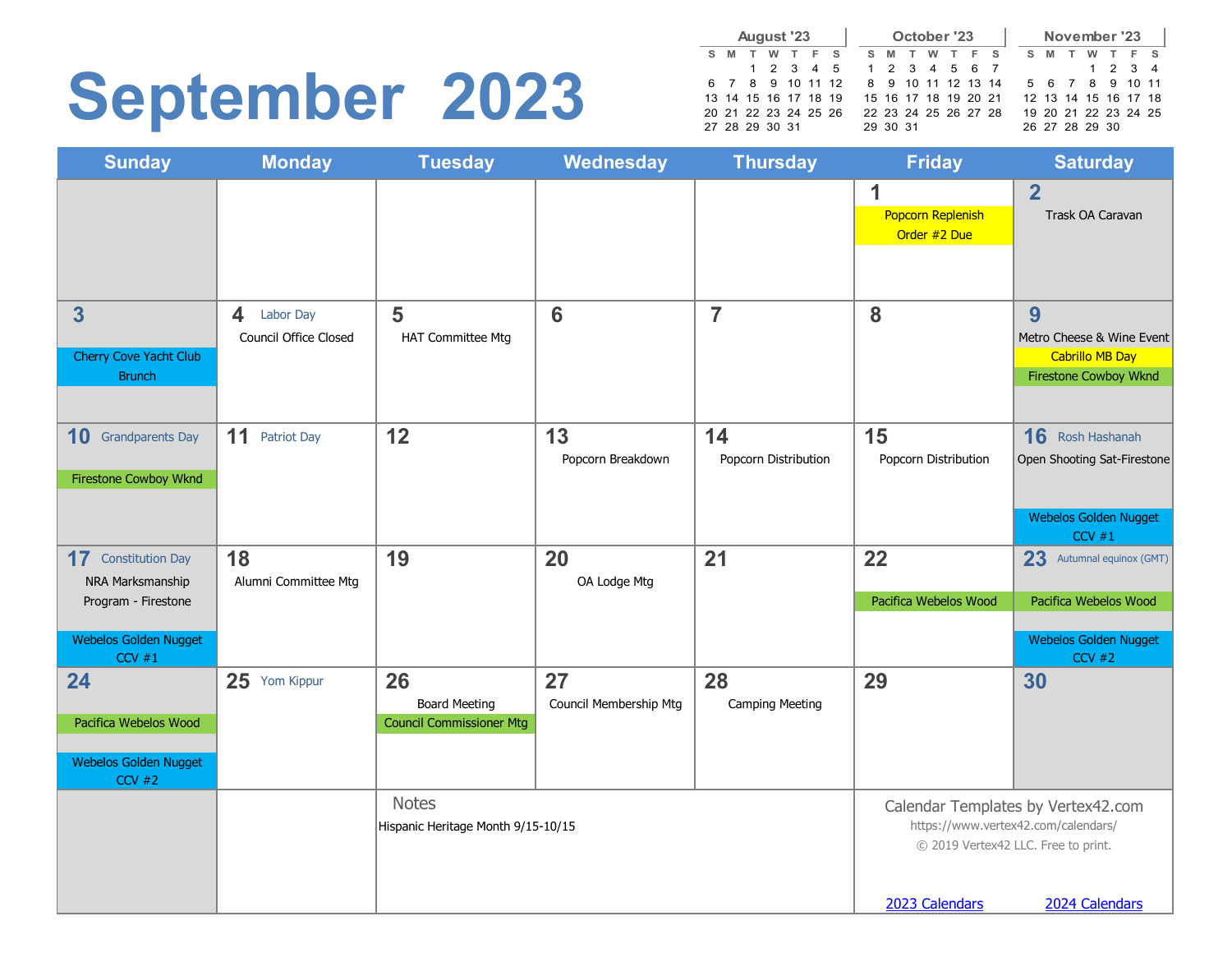### **September 2023**

|    |                      | August '23 |     |  |          | October '23 |                      |  |   |                |   | November '23         |  |
|----|----------------------|------------|-----|--|----------|-------------|----------------------|--|---|----------------|---|----------------------|--|
| s. | M                    | w          | F S |  | S M      |             | W T F S              |  | s | M              | w | T F S                |  |
|    |                      | 1 2 3 4 5  |     |  |          |             | 1 2 3 4 5 6 7        |  |   |                |   | 1 2 3 4              |  |
|    | 6 7 8 9 10 11 12     |            |     |  |          |             | 8 9 10 11 12 13 14   |  |   |                |   | 5 6 7 8 9 10 11      |  |
|    | 13 14 15 16 17 18 19 |            |     |  |          |             | 15 16 17 18 19 20 21 |  |   |                |   | 12 13 14 15 16 17 18 |  |
|    | 20 21 22 23 24 25 26 |            |     |  |          |             | 22 23 24 25 26 27 28 |  |   |                |   | 19 20 21 22 23 24 25 |  |
|    | 27 28 29 30 31       |            |     |  | 29 30 31 |             |                      |  |   | 26 27 28 29 30 |   |                      |  |

| <b>Sunday</b>                     | <b>Monday</b>            | <b>Tuesday</b>                                          | <b>Wednesday</b>       | <b>Thursday</b>        | <b>Friday</b>            | <b>Saturday</b>                       |
|-----------------------------------|--------------------------|---------------------------------------------------------|------------------------|------------------------|--------------------------|---------------------------------------|
|                                   |                          |                                                         |                        |                        | 1                        | $\overline{2}$                        |
|                                   |                          |                                                         |                        |                        | <b>Popcorn Replenish</b> | Trask OA Caravan                      |
|                                   |                          |                                                         |                        |                        | Order #2 Due             |                                       |
|                                   |                          |                                                         |                        |                        |                          |                                       |
| 3                                 | Labor Day<br>4           | 5                                                       | 6                      | $\overline{7}$         | 8                        | 9                                     |
|                                   | Council Office Closed    | <b>HAT Committee Mtg</b>                                |                        |                        |                          | Metro Cheese & Wine Event             |
| Cherry Cove Yacht Club            |                          |                                                         |                        |                        |                          | <b>Cabrillo MB Day</b>                |
| <b>Brunch</b>                     |                          |                                                         |                        |                        |                          | <b>Firestone Cowboy Wknd</b>          |
| 10<br><b>Grandparents Day</b>     | 11<br><b>Patriot Day</b> | 12                                                      | 13                     | 14                     | 15                       | 16 Rosh Hashanah                      |
|                                   |                          |                                                         | Popcorn Breakdown      | Popcorn Distribution   | Popcorn Distribution     | Open Shooting Sat-Firestone           |
| <b>Firestone Cowboy Wknd</b>      |                          |                                                         |                        |                        |                          |                                       |
|                                   |                          |                                                         |                        |                        |                          |                                       |
|                                   |                          |                                                         |                        |                        |                          | <b>Webelos Golden Nugget</b><br>CCV#1 |
| 17<br><b>Constitution Day</b>     | 18                       | 19                                                      | 20                     | 21                     | 22                       | 23<br>Autumnal equinox (GMT)          |
| NRA Marksmanship                  | Alumni Committee Mtg     |                                                         | OA Lodge Mtg           |                        |                          |                                       |
| Program - Firestone               |                          |                                                         |                        |                        | Pacifica Webelos Wood    | Pacifica Webelos Wood                 |
| Webelos Golden Nugget             |                          |                                                         |                        |                        |                          | <b>Webelos Golden Nugget</b>          |
| $CCV$ #1                          |                          |                                                         |                        |                        |                          | $CCV$ #2                              |
| 24                                | 25 Yom Kippur            | 26                                                      | 27                     | 28                     | 29                       | 30                                    |
| Pacifica Webelos Wood             |                          | <b>Board Meeting</b><br><b>Council Commissioner Mtg</b> | Council Membership Mtg | <b>Camping Meeting</b> |                          |                                       |
|                                   |                          |                                                         |                        |                        |                          |                                       |
| Webelos Golden Nugget<br>$CCV$ #2 |                          |                                                         |                        |                        |                          |                                       |
|                                   |                          | <b>Notes</b>                                            |                        |                        |                          | Calendar Templates by Vertex42.com    |
|                                   |                          | Hispanic Heritage Month 9/15-10/15                      |                        |                        |                          | https://www.vertex42.com/calendars/   |
|                                   |                          |                                                         |                        |                        |                          | © 2019 Vertex42 LLC. Free to print.   |
|                                   |                          |                                                         |                        |                        |                          |                                       |
|                                   |                          |                                                         |                        |                        | 2023 Calendars           | 2024 Calendars                        |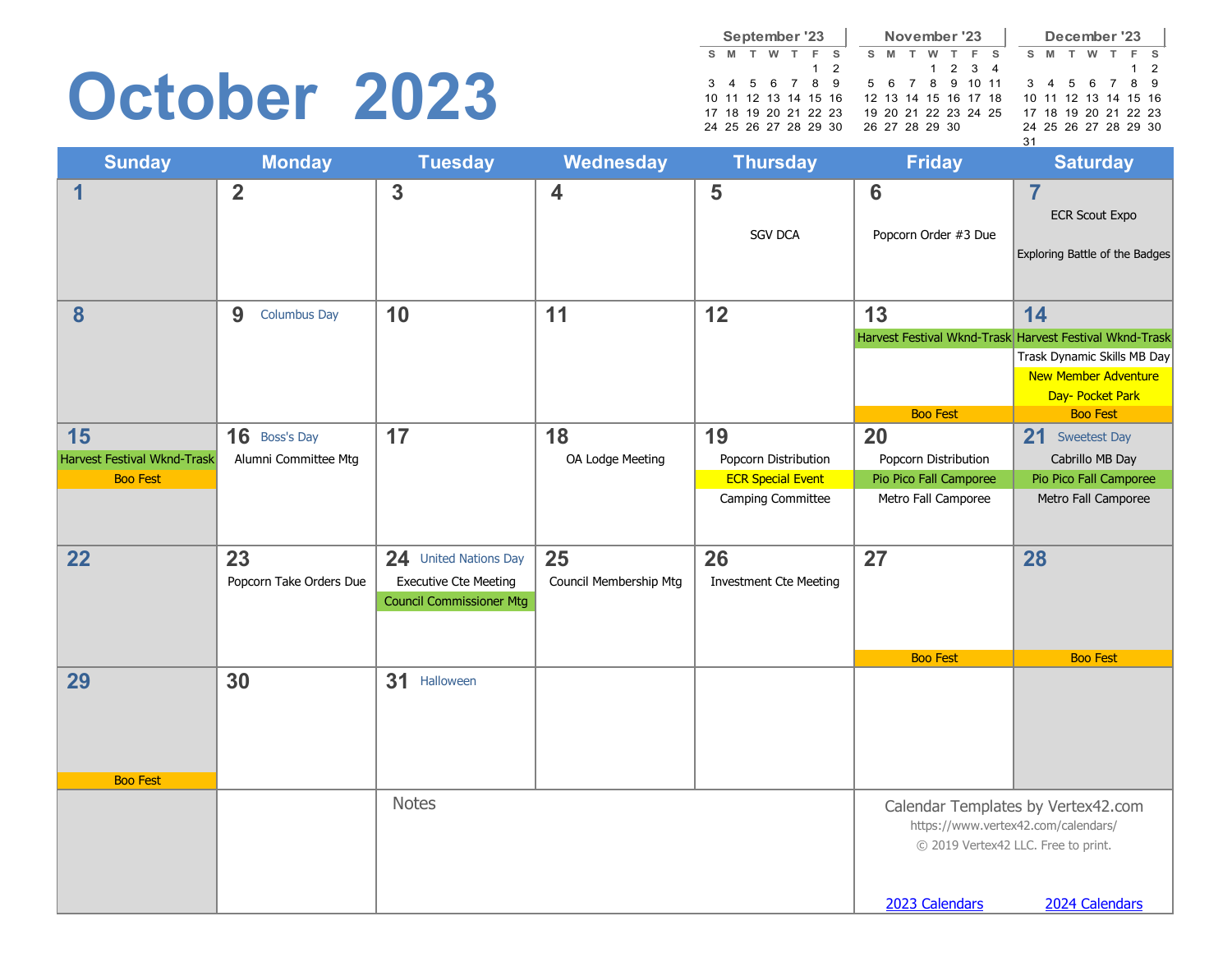### **October 2023**

|   |   |   | September '23        |            |   |   | November '23         |         |  |    |   |   | December '23         |       |
|---|---|---|----------------------|------------|---|---|----------------------|---------|--|----|---|---|----------------------|-------|
| s | M | w |                      |            | s | M | w                    | - F     |  | s. | M | w |                      | $F$ S |
|   |   |   |                      | $1\quad 2$ |   |   |                      | 1 2 3 4 |  |    |   |   |                      | 1 2   |
|   |   |   | 3 4 5 6 7 8 9        |            |   |   | 5 6 7 8 9 10 11      |         |  |    |   |   | 3 4 5 6 7 8 9        |       |
|   |   |   | 10 11 12 13 14 15 16 |            |   |   | 12 13 14 15 16 17 18 |         |  |    |   |   | 10 11 12 13 14 15 16 |       |
|   |   |   | 17 18 19 20 21 22 23 |            |   |   | 19 20 21 22 23 24 25 |         |  |    |   |   | 17 18 19 20 21 22 23 |       |
|   |   |   | 24 25 26 27 28 29 30 |            |   |   | 26 27 28 29 30       |         |  |    |   |   | 24 25 26 27 28 29 30 |       |
|   |   |   |                      |            |   |   |                      |         |  | 31 |   |   |                      |       |

| <b>Sunday</b>               | <b>Monday</b>            | <b>Tuesday</b>                                                  | Wednesday               | <b>Thursday</b>               | <b>Friday</b>                           | <b>Saturday</b>                                                                            |
|-----------------------------|--------------------------|-----------------------------------------------------------------|-------------------------|-------------------------------|-----------------------------------------|--------------------------------------------------------------------------------------------|
| $\mathbf 1$                 | $\overline{2}$           | $\mathbf{3}$                                                    | $\overline{\mathbf{4}}$ | 5<br><b>SGV DCA</b>           | $6\phantom{1}6$<br>Popcorn Order #3 Due | $\overline{7}$<br><b>ECR Scout Expo</b><br>Exploring Battle of the Badges                  |
| 8                           | 9<br><b>Columbus Day</b> | 10                                                              | 11                      | 12                            | 13                                      | 14<br>Harvest Festival Wknd-Trask Harvest Festival Wknd-Trask                              |
|                             |                          |                                                                 |                         |                               | <b>Boo Fest</b>                         | Trask Dynamic Skills MB Day<br>New Member Adventure<br>Day- Pocket Park<br><b>Boo Fest</b> |
| 15                          | 16 Boss's Day            | 17                                                              | 18                      | 19                            | 20                                      | 21 Sweetest Day                                                                            |
| Harvest Festival Wknd-Trask | Alumni Committee Mtg     |                                                                 | OA Lodge Meeting        | Popcorn Distribution          | Popcorn Distribution                    | Cabrillo MB Day                                                                            |
| <b>Boo Fest</b>             |                          |                                                                 |                         | <b>ECR Special Event</b>      | Pio Pico Fall Camporee                  | Pio Pico Fall Camporee                                                                     |
|                             |                          |                                                                 |                         | Camping Committee             | Metro Fall Camporee                     | Metro Fall Camporee                                                                        |
| 22                          | 23                       | 24 United Nations Day                                           | 25                      | 26                            | 27                                      | 28                                                                                         |
|                             | Popcorn Take Orders Due  | <b>Executive Cte Meeting</b><br><b>Council Commissioner Mtg</b> | Council Membership Mtg  | <b>Investment Cte Meeting</b> |                                         |                                                                                            |
|                             |                          |                                                                 |                         |                               | <b>Boo Fest</b>                         | <b>Boo Fest</b>                                                                            |
| 29<br><b>Boo Fest</b>       | 30                       | 31 Halloween                                                    |                         |                               |                                         |                                                                                            |
|                             |                          | <b>Notes</b>                                                    |                         |                               |                                         | Calendar Templates by Vertex42.com                                                         |
|                             |                          |                                                                 |                         |                               |                                         | https://www.vertex42.com/calendars/<br>© 2019 Vertex42 LLC. Free to print.                 |
|                             |                          |                                                                 |                         |                               | 2023 Calendars                          | 2024 Calendars                                                                             |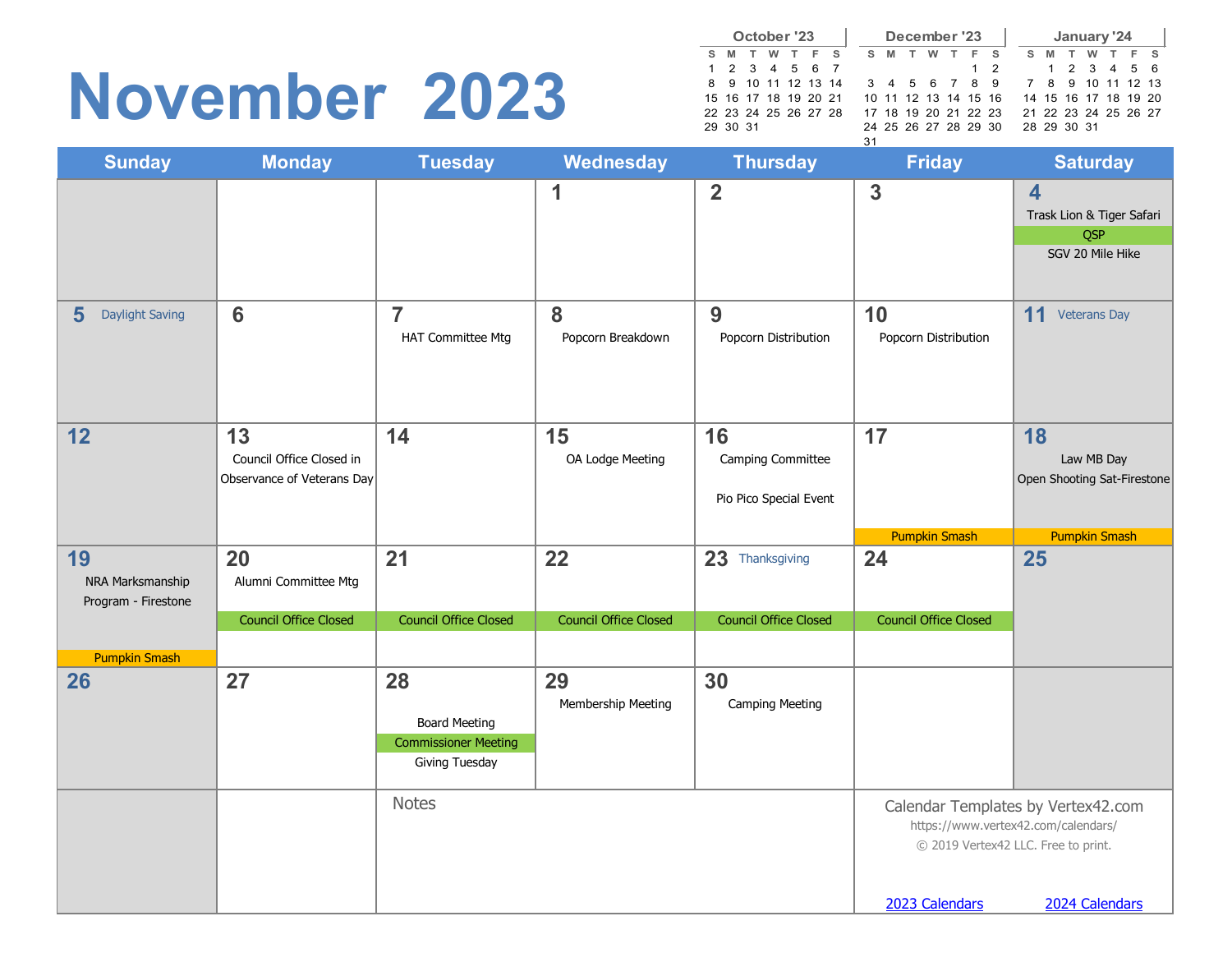#### **November 2023**

|              |          | October '23          |          |       |  |    |   | December '23         |   |  |     |    |             |     | January '24 |                      |  |
|--------------|----------|----------------------|----------|-------|--|----|---|----------------------|---|--|-----|----|-------------|-----|-------------|----------------------|--|
| $\mathbf{s}$ |          | M T                  | <b>W</b> | T F S |  | S. | M | T                    | w |  | F S | S. | M           | . т | w           | F S                  |  |
|              |          | 1 2 3 4 5 6 7        |          |       |  |    |   |                      |   |  | 1 2 |    |             |     |             | 1 2 3 4 5 6          |  |
|              |          | 8 9 10 11 12 13 14   |          |       |  |    |   | 3 4 5 6 7 8 9        |   |  |     |    |             |     |             | 7 8 9 10 11 12 13    |  |
|              |          | 15 16 17 18 19 20 21 |          |       |  |    |   | 10 11 12 13 14 15 16 |   |  |     |    |             |     |             | 14 15 16 17 18 19 20 |  |
|              |          | 22 23 24 25 26 27 28 |          |       |  |    |   | 17 18 19 20 21 22 23 |   |  |     |    |             |     |             | 21 22 23 24 25 26 27 |  |
|              | 29 30 31 |                      |          |       |  |    |   | 24 25 26 27 28 29 30 |   |  |     |    | 28 29 30 31 |     |             |                      |  |
|              |          |                      |          |       |  | 31 |   |                      |   |  |     |    |             |     |             |                      |  |

| <b>Sunday</b>                           | <b>Monday</b>                                                | <b>Tuesday</b>                                                              | Wednesday                    | <b>Thursday</b>                                   | <b>Friday</b>                                                                                                                                        | <b>Saturday</b>                                                                        |  |  |  |  |
|-----------------------------------------|--------------------------------------------------------------|-----------------------------------------------------------------------------|------------------------------|---------------------------------------------------|------------------------------------------------------------------------------------------------------------------------------------------------------|----------------------------------------------------------------------------------------|--|--|--|--|
|                                         |                                                              |                                                                             | 1                            | $\overline{2}$                                    | $\mathbf{3}$                                                                                                                                         | $\overline{\mathbf{4}}$<br>Trask Lion & Tiger Safari<br><b>QSP</b><br>SGV 20 Mile Hike |  |  |  |  |
| 5<br><b>Daylight Saving</b>             | $6\phantom{1}$                                               | $\overline{7}$<br><b>HAT Committee Mtg</b>                                  | 8<br>Popcorn Breakdown       | 9<br>Popcorn Distribution                         | 10<br>Popcorn Distribution                                                                                                                           | 11<br><b>Veterans Day</b>                                                              |  |  |  |  |
| 12                                      | 13<br>Council Office Closed in<br>Observance of Veterans Day | 14                                                                          | 15<br>OA Lodge Meeting       | 16<br>Camping Committee<br>Pio Pico Special Event | 17                                                                                                                                                   | 18<br>Law MB Day<br>Open Shooting Sat-Firestone                                        |  |  |  |  |
| 19                                      | 20                                                           | 21                                                                          | 22                           | 23 Thanksgiving                                   | <b>Pumpkin Smash</b><br>24                                                                                                                           | <b>Pumpkin Smash</b><br>25                                                             |  |  |  |  |
| NRA Marksmanship<br>Program - Firestone | Alumni Committee Mtg                                         |                                                                             |                              |                                                   |                                                                                                                                                      |                                                                                        |  |  |  |  |
|                                         | <b>Council Office Closed</b>                                 | <b>Council Office Closed</b>                                                | <b>Council Office Closed</b> | <b>Council Office Closed</b>                      | <b>Council Office Closed</b>                                                                                                                         |                                                                                        |  |  |  |  |
| <b>Pumpkin Smash</b>                    |                                                              |                                                                             |                              |                                                   |                                                                                                                                                      |                                                                                        |  |  |  |  |
| 26                                      | 27                                                           | 28<br><b>Board Meeting</b><br><b>Commissioner Meeting</b><br>Giving Tuesday | 29<br>Membership Meeting     | 30<br><b>Camping Meeting</b>                      |                                                                                                                                                      |                                                                                        |  |  |  |  |
|                                         |                                                              | <b>Notes</b>                                                                |                              |                                                   | Calendar Templates by Vertex42.com<br>https://www.vertex42.com/calendars/<br>© 2019 Vertex42 LLC. Free to print.<br>2023 Calendars<br>2024 Calendars |                                                                                        |  |  |  |  |